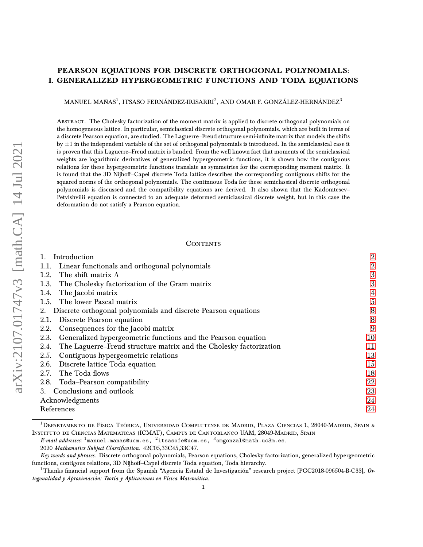# PEARSON EQUATIONS FOR DISCRETE ORTHOGONAL POLYNOMIALS: I. GENERALIZED HYPERGEOMETRIC FUNCTIONS AND TODA EQUATIONS

MANUEL MAÑAS<sup>1</sup>, ITSASO FERNÁNDEZ-IRISARRI<sup>2</sup>, AND OMAR F. GONZÁLEZ-HERNÁNDEZ<sup>3</sup>

Abstract. The Cholesky factorization of the moment matrix is applied to discrete orthogonal polynomials on the homogeneous lattice. In particular, semiclassical discrete orthogonal polynomials, which are built in terms of a discrete Pearson equation, are studied. The Laguerre–Freud structure semi-infinite matrix that models the shifts by  $\pm 1$  in the independent variable of the set of orthogonal polynomials is introduced. In the semiclassical case it is proven that this Laguerre–Freud matrix is banded. From the well known fact that moments of the semiclassical weights are logarithmic derivatives of generalized hypergeometric functions, it is shown how the contiguous relations for these hypergeometric functions translate as symmetries for the corresponding moment matrix. It is found that the 3D Nijhoff-Capel discrete Toda lattice describes the corresponding contiguous shifts for the squared norms of the orthogonal polynomials. The continuous Toda for these semiclassical discrete orthogonal polynomials is discussed and the compatibility equations are derived. It also shown that the Kadomtesev– Petvishvilii equation is connected to an adequate deformed semiclassical discrete weight, but in this case the deformation do not satisfy a Pearson equation.

#### **CONTENTS**

| Introduction                                                               | $\overline{2}$          |
|----------------------------------------------------------------------------|-------------------------|
| 1.1. Linear functionals and orthogonal polynomials                         | $\overline{2}$          |
| The shift matrix $\Lambda$<br>1.2.                                         | 3                       |
| The Cholesky factorization of the Gram matrix<br>1.3.                      | 3                       |
| The Jacobi matrix<br>1.4.                                                  | $\overline{\mathbf{4}}$ |
| 1.5. The lower Pascal matrix                                               | 5                       |
| Discrete orthogonal polynomials and discrete Pearson equations<br>2.       | 8                       |
| Discrete Pearson equation<br>2.1.                                          | 8                       |
| Consequences for the Jacobi matrix<br>2.2.                                 | 9                       |
| Generalized hypergeometric functions and the Pearson equation<br>2.3.      | 10                      |
| The Laguerre–Freud structure matrix and the Cholesky factorization<br>2.4. | 11                      |
| Contiguous hypergeometric relations<br>2.5.                                | 13                      |
| 2.6. Discrete lattice Toda equation                                        | 15                      |
| 2.7. The Toda flows                                                        | 18                      |
| 2.8. Toda-Pearson compatibility                                            | 22                      |
| 3. Conclusions and outlook                                                 | 23                      |
| Acknowledgments                                                            | 24                      |
| References                                                                 | 24                      |

 $^1$ Departamento de Física Teórica, Universidad Complutense de Madrid, Plaza Ciencias 1, 28040-Madrid, Spain & Instituto de Ciencias Matematicas (ICMAT), Campus de Cantoblanco UAM, 28049-Madrid, Spain

 $\emph{E-mail address}$ ss.  $^1$ manuel.manas@ucm.es,  $^2$ itsasofe@ucm.es,  $^3$ omgonzal@math.uc3m.es.

<sup>2020</sup> Mathematics Subject Classification. 42C05,33C45,33C47.

Key words and phrases. Discrete orthogonal polynomials, Pearson equations, Cholesky factorization, generalized hypergeometric functions, contigous relations, 3D Nijhoff-Capel discrete Toda equation, Toda hierarchy.

 $^1$ Thanks financial support from the Spanish "Agencia Estatal de Investigación" research project [PGC2018-096504-B-C33],  $0$ rtogonalidad y Aproximación: Teoría y Aplicaciones en Física Matemática.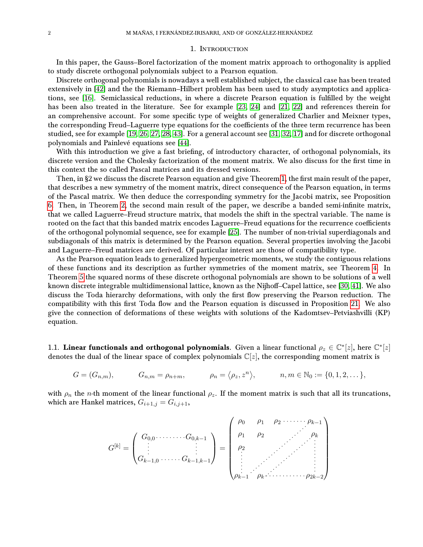### 1. Introduction

<span id="page-1-0"></span>In this paper, the Gauss–Borel factorization of the moment matrix approach to orthogonality is applied to study discrete orthogonal polynomials subject to a Pearson equation.

Discrete orthogonal polynomials is nowadays a well established subject, the classical case has been treated extensively in [\[42\]](#page-24-0) and the the Riemann–Hilbert problem has been used to study asymptotics and applications, see [\[16\]](#page-23-2). Semiclassical reductions, in where a discrete Pearson equation is fulfilled by the weight has been also treated in the literature. See for example [\[23,](#page-23-3) [24\]](#page-24-1) and [\[21,](#page-23-4) [22\]](#page-23-5) and references therein for an comprehensive account. For some specific type of weights of generalized Charlier and Meixner types, the corresponding Freud–Laguerre type equations for the coefficients of the three term recurrence has been studied, see for example [\[19,](#page-23-6) [26,](#page-24-2) [27,](#page-24-3) [28,](#page-24-4) [43\]](#page-24-5). For a general account see [\[31,](#page-24-6) [32,](#page-24-7) [17\]](#page-23-7) and for discrete orthogonal polynomials and Painlevé equations see [\[44\]](#page-24-8).

With this introduction we give a fast briefing, of introductory character, of orthogonal polynomials, its discrete version and the Cholesky factorization of the moment matrix. We also discuss for the first time in this context the so called Pascal matrices and its dressed versions.

Then, in §2 we discuss the discrete Pearson equation and give Theorem [1,](#page-8-1) the first main result of the paper, that describes a new symmetry of the moment matrix, direct consequence of the Pearson equation, in terms of the Pascal matrix. We then deduce the corresponding symmetry for the Jacobi matrix, see Proposition [6.](#page-8-2) Then, in Theorem [2,](#page-10-1) the second main result of the paper, we describe a banded semi-infinite matrix, that we called Laguerre–Freud structure matrix, that models the shift in the spectral variable. The name is rooted on the fact that this banded matrix encodes Laguerre–Freud equations for the recurrence coefficients of the orthogonal polynomial sequence, see for example [\[25\]](#page-24-9). The number of non-trivial superdiagonals and subdiagonals of this matrix is determined by the Pearson equation. Several properties involving the Jacobi and Laguerre–Freud matrices are derived. Of particular interest are those of compatibility type.

As the Pearson equation leads to generalized hypergeometric moments, we study the contiguous relations of these functions and its description as further symmetries of the moment matrix, see Theorem [4.](#page-12-1) In Theorem [5](#page-15-0) the squared norms of these discrete orthogonal polynomials are shown to be solutions of a well known discrete integrable multidimensional lattice, known as the Nijhoff–Capel lattice, see [\[30,](#page-24-10) [41\]](#page-24-11). We also discuss the Toda hierarchy deformations, with only the first flow preserving the Pearson reduction. The compatibility with this first Toda flow and the Pearson equation is discussed in Proposition [21.](#page-21-1) We also give the connection of deformations of these weights with solutions of the Kadomtsev–Petviashvilli (KP) equation.

<span id="page-1-1"></span>1.1. Linear functionals and orthogonal polynomials. Given a linear functional  $\rho_z \in \mathbb{C}^*[z]$ , here  $\mathbb{C}^*[z]$ denotes the dual of the linear space of complex polynomials  $\mathbb{C}[z]$ , the corresponding moment matrix is

$$
G = (G_{n,m}), \qquad G_{n,m} = \rho_{n+m}, \qquad \rho_n = \langle \rho_z, z^n \rangle, \qquad n, m \in \mathbb{N}_0 := \{0, 1, 2, \dots\},
$$

with  $\rho_n$  the *n*-th moment of the linear functional  $\rho_z$ . If the moment matrix is such that all its truncations, which are Hankel matrices,  $G_{i+1,j} = G_{i,j+1}$ ,

$$
G^{[k]} = \begin{pmatrix} G_{0,0} \cdots \cdots \cdots G_{0,k-1} \\ \vdots & \vdots \\ G_{k-1,0} \cdots \cdots G_{k-1,k-1} \end{pmatrix} = \begin{pmatrix} \rho_0 & \rho_1 & \rho_2 & \cdots \cdots \rho_{k-1} \\ \rho_1 & \rho_2 & \cdots & \rho_k \\ \rho_2 & & \vdots & \vdots \\ \vdots & \ddots & \vdots & \vdots \\ \rho_{k-1} & \rho_k \cdots \cdots \cdots \rho_{2k-2} \end{pmatrix}
$$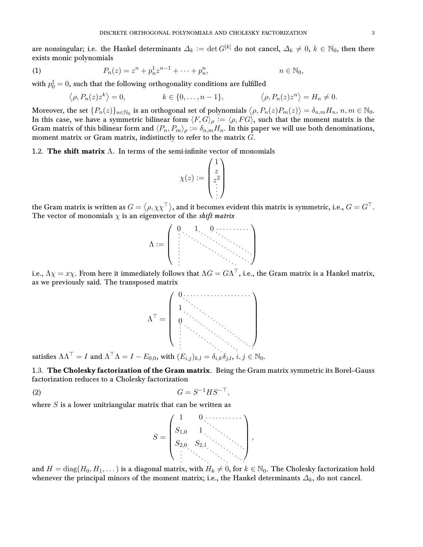are nonsingular; i.e. the Hankel determinants  $\Delta_k := \det G^{[k]}$  do not cancel,  $\Delta_k \neq 0, k \in \mathbb{N}_0$ , then there exists monic polynomials

<span id="page-2-2"></span>(1) 
$$
P_n(z) = z^n + p_n^1 z^{n-1} + \dots + p_n^n, \qquad n \in \mathbb{N}_0,
$$

with  $p_0^1=0,$  such that the following orthogonality conditions are fulfilled

$$
\langle \rho, P_n(z) z^k \rangle = 0,
$$
  $k \in \{0, ..., n-1\}, \qquad \langle \rho, P_n(z) z^n \rangle = H_n \neq 0.$ 

Moreover, the set  $\{P_n(z)\}_{n\in\mathbb{N}_0}$  is an orthogonal set of polynomials  $\big\langle \rho, P_n(z)P_m(z)\big\rangle=\delta_{n,m}H_n,$   $n,m\in\mathbb{N}_0.$ In this case, we have a symmetric bilinear form  $\langle F, G \rangle_\rho := \langle \rho, FG \rangle$ , such that the moment matrix is the Gram matrix of this bilinear form and  $\langle P_n, P_m \rangle_\rho := \delta_{n,m}H_n$ . In this paper we will use both denominations, moment matrix or Gram matrix, indistinctly to refer to the matrix G.

<span id="page-2-0"></span>1.2. The shift matrix  $\Lambda$ . In terms of the semi-infinite vector of monomials

$$
\chi(z) := \begin{pmatrix} 1 \\ z \\ z^2 \\ \vdots \end{pmatrix}
$$

the Gram matrix is written as  $G=\langle\rho,\chi\chi^\top\rangle,$  and it becomes evident this matrix is symmetric, i.e.,  $G=G^\top.$ The vector of monomials  $\chi$  is an eigenvector of the *shift matrix* 



i.e.,  $\Lambda\chi=x\chi.$  From here it immediately follows that  $\Lambda G=G\Lambda^\top,$  i.e., the Gram matrix is a Hankel matrix, as we previously said. The transposed matrix



satisfies  $\Lambda\Lambda^\top = I$  and  $\Lambda^\top\Lambda = I - E_{0,0}$ , with  $(E_{i,j})_{k,l} = \delta_{i,k}\delta_{j,l},$   $i, j \in \mathbb{N}_0$ .

<span id="page-2-1"></span>1.3. The Cholesky factorization of the Gram matrix. Being the Gram matrix symmetric its Borel–Gauss factorization reduces to a Cholesky factorization

<span id="page-2-3"></span>
$$
(2) \tG = S^{-1} H S^{-\top},
$$

where  $S$  is a lower unitriangular matrix that can be written as



and  $H = diag(H_0, H_1, \dots)$  is a diagonal matrix, with  $H_k \neq 0$ , for  $k \in \mathbb{N}_0$ . The Cholesky factorization hold whenever the principal minors of the moment matrix; i.e., the Hankel determinants  $\Delta_k$ , do not cancel.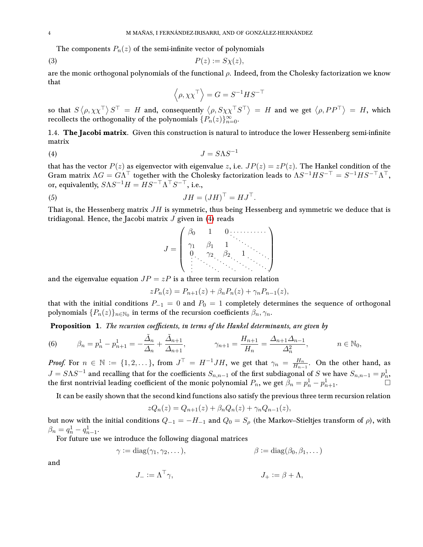The components  $P_n(z)$  of the semi-infinite vector of polynomials

<span id="page-3-2"></span>
$$
(3) \t\t P(z) := S\chi(z),
$$

are the monic orthogonal polynomials of the functional  $\rho$ . Indeed, from the Cholesky factorization we know that

$$
\left\langle \rho, \chi \chi^\top \right\rangle = G = S^{-1} H S^{-\top}
$$

so that  $S\langle\rho,\chi\chi^\top\rangle S^\top = H$  and, consequently  $\langle\rho,S\chi\chi^\top S^\top\rangle = H$  and we get  $\langle\rho,PP^\top\rangle = H$ , which recollects the orthogonality of the polynomials  $\{P_n(z)\}_{n=0}^\infty.$ 

<span id="page-3-0"></span>1.4. The Jacobi matrix. Given this construction is natural to introduce the lower Hessenberg semi-infinite matrix

<span id="page-3-1"></span>
$$
(4) \t\t J = S\Lambda S^{-1}
$$

that has the vector  $P(z)$  as eigenvector with eigenvalue z, i.e.  $JP(z) = zP(z)$ . The Hankel condition of the Gram matrix  $\Lambda G = G \Lambda^{\top}$  together with the Cholesky factorization leads to  $\Lambda S^{-1} H S^{-\top} = S^{-1} H S^{-\top} \Lambda^{\top}$ , or, equivalently,  $S\Lambda S^{-1}H = HS^{-\top}\Lambda^{\top}S^{-\top}$ , i.e.,

<span id="page-3-4"></span>
$$
JH = (JH)^{\top} = HJ^{\top}.
$$

That is, the Hessenberg matrix  $JH$  is symmetric, thus being Hessenberg and symmetric we deduce that is tridiagonal. Hence, the Jacobi matrix  $J$  given in [\(4\)](#page-3-1) reads

$$
J = \begin{pmatrix} \beta_0 & 1 & 0 & \cdots & \cdots & \cdots \\ \gamma_1 & \beta_1 & 1 & & & \\ 0 & \gamma_2 & \beta_2 & 1 & \cdots & \\ \vdots & \vdots & \vdots & \ddots & \ddots & \ddots \end{pmatrix}
$$

and the eigenvalue equation  $JP = zP$  is a three term recursion relation

$$
zP_n(z) = P_{n+1}(z) + \beta_n P_n(z) + \gamma_n P_{n-1}(z),
$$

that with the initial conditions  $P_{-1} = 0$  and  $P_0 = 1$  completely determines the sequence of orthogonal polynomials  $\{P_n(z)\}_{n\in\mathbb{N}_0}$  in terms of the recursion coefficients  $\beta_n, \gamma_n.$ 

Proposition 1. The recursion coefficients, in terms of the Hankel determinants, are given by

<span id="page-3-3"></span>(6) 
$$
\beta_n = p_n^1 - p_{n+1}^1 = -\frac{\tilde{\Delta}_n}{\Delta_n} + \frac{\tilde{\Delta}_{n+1}}{\Delta_{n+1}}, \qquad \gamma_{n+1} = \frac{H_{n+1}}{H_n} = \frac{\Delta_{n+1}\Delta_{n-1}}{\Delta_n^2}, \qquad n \in \mathbb{N}_0,
$$

*Proof.* For  $n \in \mathbb{N} := \{1, 2, \dots\}$ , from  $J^{\top} = H^{-1} J H$ , we get that  $\gamma_n = \frac{H_n}{H_n}$  $\frac{H_n}{H_{n-1}}$ . On the other hand, as  $J = S \Lambda S^{-1}$  and recalling that for the coefficients  $S_{n,n-1}$  of the first subdiagonal of S we have  $S_{n,n-1} = p_n^1$ , the first nontrivial leading coefficient of the monic polynomial  $P_n$ , we get  $\beta_n = p_n^1 - p_{n+1}^1$ .

It can be easily shown that the second kind functions also satisfy the previous three term recursion relation

$$
zQ_n(z) = Q_{n+1}(z) + \beta_n Q_n(z) + \gamma_n Q_{n-1}(z),
$$

but now with the initial conditions  $Q_{-1} = -H_{-1}$  and  $Q_0 = S_\rho$  (the Markov–Stieltjes transform of  $\rho$ ), with  $\beta_n = q_n^1 - q_{n-1}^1.$ 

For future use we introduce the following diagonal matrices

$$
\gamma := \text{diag}(\gamma_1, \gamma_2, \dots), \qquad \beta := \text{diag}(\beta_0, \beta_1, \dots)
$$

and

$$
J_- := \Lambda^\top \gamma,
$$
  

$$
J_+ := \beta + \Lambda,
$$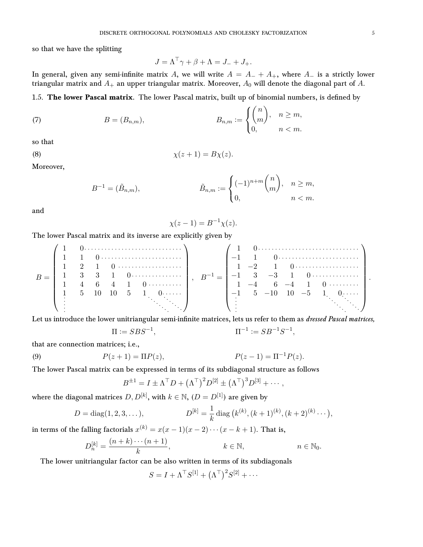so that we have the splitting

$$
J = \Lambda^{\top} \gamma + \beta + \Lambda = J_- + J_+.
$$

In general, given any semi-infinite matrix A, we will write  $A = A_{-} + A_{+}$ , where  $A_{-}$  is a strictly lower triangular matrix and  $A_+$  an upper triangular matrix. Moreover,  $A_0$  will denote the diagonal part of A.

<span id="page-4-0"></span>1.5. The lower Pascal matrix. The lower Pascal matrix, built up of binomial numbers, is defined by

(7) 
$$
B = (B_{n,m}), \qquad B_{n,m} := \begin{cases} {n \choose m}, & n \ge m, \\ 0, & n < m. \end{cases}
$$

so that

<span id="page-4-1"></span>
$$
\chi(z+1) = B\chi(z).
$$

Moreover,

$$
B^{-1} = (\tilde{B}_{n,m}), \qquad \tilde{B}_{n,m} := \begin{cases} (-1)^{n+m} \binom{n}{m}, & n \ge m, \\ 0, & n < m. \end{cases}
$$

and

$$
\chi(z-1) = B^{-1}\chi(z).
$$

The lower Pascal matrix and its inverse are explicitly given by

B = 1 0 1 1 0 1 2 1 0 1 3 3 1 0 1 4 6 4 1 0 1 5 10 10 5 1 0 , B−<sup>1</sup> = 1 0 −1 1 0 1 −2 1 0 −1 3 −3 1 0 1 −4 6 −4 1 0 −1 5 −10 10 −5 1 0 .

Let us introduce the lower unitriangular semi-infinite matrices, lets us refer to them as *dressed Pascal matrices*,

$$
\Pi := SBS^{-1}, \qquad \qquad \Pi^{-1} := SB^{-1}S^{-1},
$$

that are connection matrices; i.e.,

<span id="page-4-2"></span>(9) 
$$
P(z+1) = \Pi P(z), \qquad P(z-1) = \Pi^{-1} P(z).
$$

The lower Pascal matrix can be expressed in terms of its subdiagonal structure as follows

$$
B^{\pm 1} = I \pm \Lambda^{\top} D + (\Lambda^{\top})^2 D^{[2]} \pm (\Lambda^{\top})^3 D^{[3]} + \cdots,
$$

where the diagonal matrices  $D, D^{[k]},$  with  $k \in \mathbb{N},$   $(D = D^{[1]})$  are given by

$$
D = diag(1, 2, 3, \dots), \qquad D^{[k]} = \frac{1}{k} diag(k^{(k)}, (k+1)^{(k)}, (k+2)^{(k)} \dots),
$$

in terms of the falling factorials  $x^{(k)} = x(x-1)(x-2)\cdots(x-k+1)$ . That is,

$$
D_n^{[k]} = \frac{(n+k)\cdots(n+1)}{k}, \qquad k \in \mathbb{N}, \qquad n \in \mathbb{N}_0.
$$

The lower unitriangular factor can be also written in terms of its subdiagonals

$$
S = I + \Lambda^\top S^{[1]} + (\Lambda^\top)^2 S^{[2]} + \cdots
$$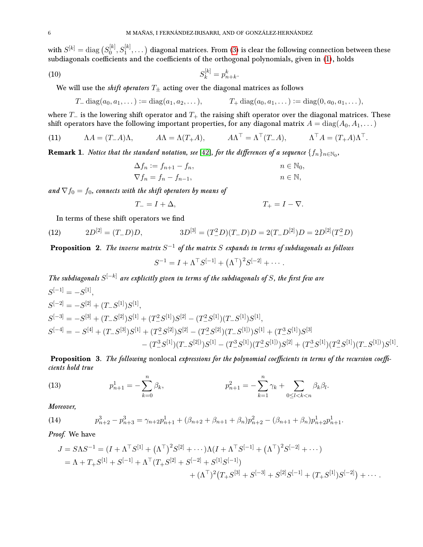with  $S^{[k]} = \operatorname{diag}\big( S^{[k]}_0\big)$  $\mathcal{S}^{[k]}_0, S^{[k]}_1, \dots)$  diagonal matrices. From [\(3\)](#page-3-2) is clear the following connection between these subdiagonals coefficients and the coefficients of the orthogonal polynomials, given in [\(1\)](#page-2-2), holds

<span id="page-5-4"></span>(10) 
$$
S_k^{[k]} = p_{n+k}^k.
$$

We will use the *shift operators*  $T_+$  acting over the diagonal matrices as follows

$$
T_{-} \operatorname{diag}(a_0, a_1, \dots) := \operatorname{diag}(a_1, a_2, \dots), \qquad T_{+} \operatorname{diag}(a_0, a_1, \dots) := \operatorname{diag}(0, a_0, a_1, \dots),
$$

where  $T_-\,$  is the lowering shift operator and  $T_+\,$  the raising shift operator over the diagonal matrices. These shift operators have the following important properties, for any diagonal matrix  $A = diag(A_0, A_1, \dots)$ 

<span id="page-5-2"></span>(11) 
$$
\Lambda A = (T - A)\Lambda, \qquad A\Lambda = \Lambda (T + A), \qquad A\Lambda^{\top} = \Lambda^{\top} (T - A), \qquad \Lambda^{\top} A = (T + A)\Lambda^{\top}.
$$

**Remark 1.** Notice that the standard notation, see [\[42\]](#page-24-0), for the differences of a sequence  $\{f_n\}_{n\in\mathbb{N}_0}$ ,

$$
\Delta f_n := f_{n+1} - f_n,
$$
  
\n
$$
\nabla f_n = f_n - f_{n-1},
$$
  
\n
$$
n \in \mathbb{N},
$$
  
\n
$$
n \in \mathbb{N},
$$

and  $\nabla f_0 = f_0$ , connects with the shift operators by means of

$$
T_{-} = I + \Delta, \qquad T_{+} = I - \nabla.
$$

In terms of these shift operators we find

(12) 
$$
2D^{[2]} = (T - D)D, \qquad 3D^{[3]} = (T^2 - D)(T - D)D = 2(T - D^{[2]})D = 2D^{[2]}(T^2 - D)
$$

<span id="page-5-3"></span>**Proposition** 2. The inverse matrix  $S^{-1}$  of the matrix  $S$  expands in terms of subdiagonals as follows

$$
S^{-1} = I + \Lambda^{\top} S^{[-1]} + (\Lambda^{\top})^2 S^{[-2]} + \cdots.
$$

The subdiagonals  $S^{[-k]}$  are explicitly given in terms of the subdiagonals of S, the first few are  $S^{[-1]} = -S^{[1]},$  $S^{[-2]} = -S^{[2]} + (T_{-}S^{[1]})S^{[1]},$  $S^{[-3]} = -S^{[3]} + (T_{-}S^{[2]})S^{[1]} + (T_{-}^{2}S^{[1]})S^{[2]} - (T_{-}^{2}S^{[1]})(T_{-}S^{[1]})S^{[1]},$  $S^{[-4]} = -S^{[4]} + (T_{-}S^{[3]})S^{[1]} + (T_{-}^{2}S^{[2]})S^{[2]} - (T_{-}^{2}S^{[2]})(T_{-}S^{[1]}))S^{[1]} + (T_{-}^{3}S^{[1]})S^{[3]}$  $-(T^3_-S^{[1]})(T_-S^{[2]})S^{[1]} - (T^3_-S^{[1]})(T^2_-S^{[1]}))S^{[2]} + (T^3_-S^{[1]})(T^2_-S^{[1]})(T_-S^{[1]}))S^{[1]}.$ 

Proposition 3. The following nonlocal expressions for the polynomial coefficients in terms of the recursion coefficients hold true

<span id="page-5-0"></span>(13) 
$$
p_{n+1}^1 = -\sum_{k=0}^n \beta_k, \qquad p_{n+1}^2 = -\sum_{k=1}^n \gamma_k + \sum_{0 \le l < k < n} \beta_k \beta_l.
$$

Moreover,

<span id="page-5-1"></span>(14) 
$$
p_{n+2}^3 - p_{n+3}^3 = \gamma_{n+2}p_{n+1}^1 + (\beta_{n+2} + \beta_{n+1} + \beta_n)p_{n+2}^2 - (\beta_{n+1} + \beta_n)p_{n+2}^1p_{n+1}^1.
$$

Proof. We have

$$
J = S\Lambda S^{-1} = (I + \Lambda^{\top} S^{[1]} + (\Lambda^{\top})^2 S^{[2]} + \cdots) \Lambda (I + \Lambda^{\top} S^{[-1]} + (\Lambda^{\top})^2 S^{[-2]} + \cdots)
$$
  
=  $\Lambda + T_+ S^{[1]} + S^{[-1]} + \Lambda^{\top} (T_+ S^{[2]} + S^{[-2]} + S^{[1]} S^{[-1]})$   
 $+ (\Lambda^{\top})^2 (T_+ S^{[3]} + S^{[-3]} + S^{[2]} S^{[-1]} + (T_+ S^{[1]}) S^{[-2]}) + \cdots$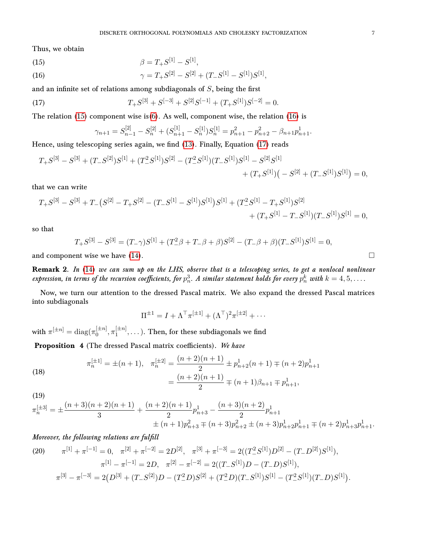Thus, we obtain

<span id="page-6-1"></span><span id="page-6-0"></span>(15)  
\n
$$
\beta = T_{+}S^{[1]} - S^{[1]},
$$
\n
$$
\gamma = T_{+}S^{[2]} - S^{[2]} + (T_{-}S^{[1]} - S^{[1]})S^{[1]},
$$

and an infinite set of relations among subdiagonals of  $S$ , being the first

<span id="page-6-2"></span>(17) 
$$
T_{+}S^{[3]} + S^{[-3]} + S^{[2]}S^{[-1]} + (T_{+}S^{[1]})S^{[-2]} = 0.
$$

The relation  $(15)$  component wise is $(6)$ . As well, component wise, the relation  $(16)$  is

$$
\gamma_{n+1} = S_{n-1}^{[2]} - S_n^{[2]} + (S_{n+1}^{[1]} - S_n^{[1]})S_n^{[1]} = p_{n+1}^2 - p_{n+2}^2 - \beta_{n+1}p_{n+1}^1.
$$

Hence, using telescoping series again, we find [\(13\)](#page-5-0). Finally, Equation [\(17\)](#page-6-2) reads

$$
T_{+}S^{[3]} - S^{[3]} + (T_{-}S^{[2]})S^{[1]} + (T_{-}^{2}S^{[1]})S^{[2]} - (T_{-}^{2}S^{[1]})(T_{-}S^{[1]})S^{[1]} - S^{[2]}S^{[1]} + (T_{+}S^{[1]})\left(-S^{[2]} + (T_{-}S^{[1]})S^{[1]}\right) = 0,
$$

that we can write

$$
T_{+}S^{[3]} - S^{[3]} + T_{-}(S^{[2]} - T_{+}S^{[2]} - (T_{-}S^{[1]} - S^{[1]})S^{[1]})S^{[1]} + (T_{-}^{2}S^{[1]} - T_{+}S^{[1]})S^{[2]} + (T_{+}S^{[1]} - T_{-}S^{[1]})(T_{-}S^{[1]})S^{[1]} = 0,
$$

so that

$$
T_{+}S^{[3]} - S^{[3]} = (T_{-}\gamma)S^{[1]} + (T_{-}^{2}\beta + T_{-}\beta + \beta)S^{[2]} - (T_{-}\beta + \beta)(T_{-}S^{[1]})S^{[1]} = 0,
$$

and component wise we have  $(14)$ .

Remark 2. In [\(14\)](#page-5-1) we can sum up on the LHS, observe that is a telescoping series, to get a nonlocal nonlinear expression, in terms of the recursion coefficients, for  $p_n^3$ . A similar statement holds for every  $p_n^k$  with  $k=4,5,\ldots$ .

Now, we turn our attention to the dressed Pascal matrix. We also expand the dressed Pascal matrices into subdiagonals

$$
\Pi^{\pm 1} = I + \Lambda^{\top} \pi^{[\pm 1]} + (\Lambda^{\top})^2 \pi^{[\pm 2]} + \cdots
$$

with  $\pi^{[\pm n]} = \text{diag}(\pi_0^{[\pm n]})$  $\left[\pm n\right]_0, \pi_1^{\left[\pm n\right]}$  $\mathbf{I}_{1}^{[\pm n]}, \ldots$  ). Then, for these subdiagonals we find

Proposition 4 (The dressed Pascal matrix coefficients). We have

(18) 
$$
\pi_n^{[\pm 1]} = \pm (n+1), \quad \pi_n^{[\pm 2]} = \frac{(n+2)(n+1)}{2} \pm p_{n+2}^1(n+1) \mp (n+2)p_{n+1}^1
$$

$$
= \frac{(n+2)(n+1)}{2} \mp (n+1)\beta_{n+1} \mp p_{n+1}^1,
$$

(19)

$$
\pi_n^{[\pm 3]} = \pm \frac{(n+3)(n+2)(n+1)}{3} + \frac{(n+2)(n+1)}{2} p_{n+3}^1 - \frac{(n+3)(n+2)}{2} p_{n+1}^1 + (n+1) p_{n+3}^2 \mp (n+3) p_{n+2}^2 \pm (n+3) p_{n+2}^1 p_{n+1}^1 \mp (n+2) p_{n+3}^1 p_{n+1}^1.
$$

## Moreover, the following relations are fulfill

(20) 
$$
\pi^{[1]} + \pi^{[-1]} = 0, \quad \pi^{[2]} + \pi^{[-2]} = 2D^{[2]}, \quad \pi^{[3]} + \pi^{[-3]} = 2((T^2 \cdot S^{[1]})D^{[2]} - (T^2 \cdot D^{[2]})S^{[1]}),
$$

$$
\pi^{[1]} - \pi^{[-1]} = 2D, \quad \pi^{[2]} - \pi^{[-2]} = 2((T^2 \cdot S^{[1]})D - (T^2 \cdot D)S^{[1]}),
$$

$$
\pi^{[3]} - \pi^{[-3]} = 2(D^{[3]} + (T^2 \cdot S^{[2]})D - (T^2 \cdot D)S^{[2]} + (T^2 \cdot D)(T^2 \cdot S^{[1]})S^{[1]} - (T^2 \cdot S^{[1]})(T^2 \cdot D)S^{[1]}).
$$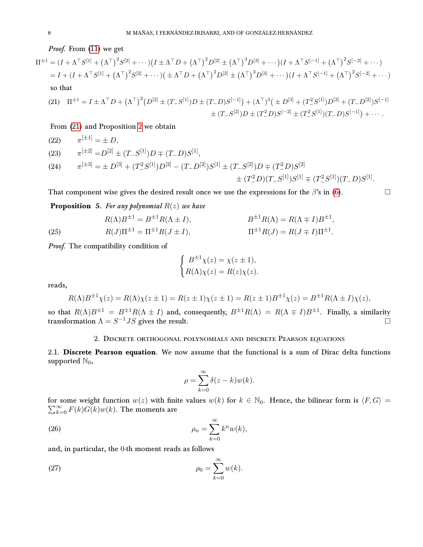Proof. From [\(11\)](#page-5-2) we get

$$
\Pi^{\pm 1} = (I + \Lambda^{\top} S^{[1]} + (\Lambda^{\top})^2 S^{[2]} + \cdots)(I \pm \Lambda^{\top} D + (\Lambda^{\top})^2 D^{[2]} \pm (\Lambda^{\top})^3 D^{[3]} + \cdots)(I + \Lambda^{\top} S^{[-1]} + (\Lambda^{\top})^2 S^{[-2]} + \cdots)
$$
  
=  $I + (I + \Lambda^{\top} S^{[1]} + (\Lambda^{\top})^2 S^{[2]} + \cdots)(\pm \Lambda^{\top} D + (\Lambda^{\top})^2 D^{[2]} \pm (\Lambda^{\top})^3 D^{[3]} + \cdots)(I + \Lambda^{\top} S^{[-1]} + (\Lambda^{\top})^2 S^{[-2]} + \cdots)$   
so that

<span id="page-7-2"></span>
$$
(21) \quad \Pi^{\pm 1} = I \pm \Lambda^{\top} D + (\Lambda^{\top})^2 (D^{[2]} \pm (T - S^{[1]}) D \pm (T - D) S^{[-1]}) + (\Lambda^{\top})^3 (\pm D^{[3]} + (T^2 - S^{[1]}) D^{[2]} + (T - D^{[2]}) S^{[-1]} + (T - S^{[2]}) D \pm (T^2 - D) S^{[-2]} \pm (T^2 - S^{[1]})(T - D) S^{[-1]} + \cdots
$$

From [\(21\)](#page-7-2) and Proposition [2](#page-5-3) we obtain

(22) 
$$
\pi^{[\pm 1]} = \pm D,
$$

(23) 
$$
\pi^{[\pm 2]} = D^{[2]} \pm (T - S^{[1]})D \mp (T - D)S^{[1]},
$$

(24) 
$$
\pi^{[\pm 3]} = \pm D^{[3]} + (T^2 S^{[1]}) D^{[2]} - (T - D^{[2]}) S^{[1]} \pm (T - S^{[2]}) D \mp (T^2 D) S^{[2]} \pm (T^2 D) (T - S^{[1]}) S^{[1]} \mp (T^2 S^{[1]})(T - D) S^{[1]}.
$$

That component wise gives the desired result once we use the expressions for the  $\beta$ 's in [\(6\)](#page-3-3).

**Proposition** 5. For any polynomial  $R(z)$  we have

<span id="page-7-5"></span>(25) 
$$
R(\Lambda)B^{\pm 1} = B^{\pm 1}R(\Lambda \pm I), \qquad B^{\pm 1}R(\Lambda) = R(\Lambda \mp I)B^{\pm 1},
$$

$$
R(J)\Pi^{\pm 1} = \Pi^{\pm 1}R(J \pm I), \qquad \Pi^{\pm 1}R(J) = R(J \mp I)\Pi^{\pm 1}.
$$

Proof. The compatibility condition of

$$
\begin{cases}\nB^{\pm 1}\chi(z) = \chi(z \pm 1), \\
R(\Lambda)\chi(z) = R(z)\chi(z).\n\end{cases}
$$

reads,

$$
R(\Lambda)B^{\pm 1}\chi(z) = R(\Lambda)\chi(z \pm 1) = R(z \pm 1)\chi(z \pm 1) = R(z \pm 1)B^{\pm 1}\chi(z) = B^{\pm 1}R(\Lambda \pm I)\chi(z),
$$

so that  $R(\Lambda)B^{\pm 1} = B^{\pm 1}R(\Lambda \pm I)$  and, consequently,  $B^{\pm 1}R(\Lambda) = R(\Lambda \mp I)B^{\pm 1}$ . Finally, a similarity transformation  $\Lambda = S^{-1}JS$  gives the result.

# 2. Discrete orthogonal polynomials and discrete Pearson equations

<span id="page-7-1"></span><span id="page-7-0"></span>2.1. Discrete Pearson equation. We now assume that the functional is a sum of Dirac delta functions supported  $\mathbb{N}_0$ ,

$$
\rho = \sum_{k=0}^{\infty} \delta(z - k) w(k).
$$

for some weight function  $w(z)$  with finite values  $w(k)$  for  $k \in \mathbb{N}_0$ . Hence, the bilinear form is  $\langle F, G \rangle =$  $\sum_{k=0}^{\infty} F(k)G(k)w(k)$ . The moments are

<span id="page-7-4"></span>(26) 
$$
\rho_n = \sum_{k=0}^{\infty} k^n w(k),
$$

and, in particular, the 0-th moment reads as follows

<span id="page-7-3"></span>
$$
\rho_0 = \sum_{k=0}^{\infty} w(k).
$$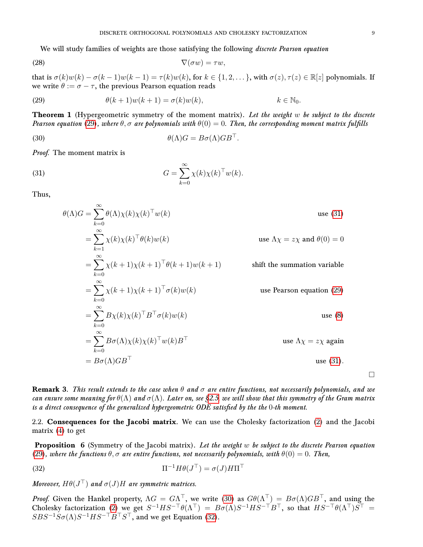We will study families of weights are those satisfying the following *discrete Pearson equation* 

$$
\nabla(\sigma w) = \tau w,
$$

that is  $\sigma(k)w(k) - \sigma(k-1)w(k-1) = \tau(k)w(k)$ , for  $k \in \{1, 2, \dots\}$ , with  $\sigma(z)$ ,  $\tau(z) \in \mathbb{R}[z]$  polynomials. If we write  $\theta := \sigma - \tau$ , the previous Pearson equation reads

<span id="page-8-3"></span>(29) 
$$
\theta(k+1)w(k+1) = \sigma(k)w(k), \qquad k \in \mathbb{N}_0.
$$

<span id="page-8-1"></span>**Theorem 1** (Hypergeometric symmetry of the moment matrix). Let the weight w be subject to the discrete Pearson equation [\(29\)](#page-8-3), where  $\theta, \sigma$  are polynomials with  $\theta(0) = 0$ . Then, the corresponding moment matrix fulfills

<span id="page-8-5"></span>(30) 
$$
\theta(\Lambda)G = B\sigma(\Lambda)GB^{\top}.
$$

Proof. The moment matrix is

 $\sim$ 

<span id="page-8-4"></span>(31) 
$$
G = \sum_{k=0}^{\infty} \chi(k) \chi(k)^{\top} w(k).
$$

Thus,

$$
\theta(\Lambda)G = \sum_{k=0}^{\infty} \theta(\Lambda)\chi(k)\chi(k)^{\top}w(k)
$$
use (31)  
\n
$$
= \sum_{k=1}^{\infty} \chi(k)\chi(k)^{\top}\theta(k)w(k)
$$
use  $\Lambda\chi = z\chi$  and  $\theta(0) = 0$   
\n
$$
= \sum_{k=0}^{\infty} \chi(k+1)\chi(k+1)^{\top}\theta(k+1)w(k+1)
$$
shift the summation variable  
\n
$$
= \sum_{k=0}^{\infty} \chi(k+1)\chi(k+1)^{\top}\sigma(k)w(k)
$$
use Pearson equation (29)  
\n
$$
= \sum_{k=0}^{\infty} B\chi(k)\chi(k)^{\top}B^{\top}\sigma(k)w(k)
$$
use (8)  
\n
$$
= \sum_{k=0}^{\infty} B\sigma(\Lambda)\chi(k)\chi(k)^{\top}w(k)B^{\top}
$$
use  $\Lambda\chi = z\chi$  again  
\n
$$
= B\sigma(\Lambda)GB^{\top}
$$
use (31).

**Remark 3.** This result extends to the case when  $\theta$  and  $\sigma$  are entire functions, not necessarily polynomials, and we can ensure some meaning for  $\theta(\Lambda)$  and  $\sigma(\Lambda)$ . Later on, see [§2.5,](#page-12-0) we will show that this symmetry of the Gram matrix is a direct consequence of the generalized hypergeometric ODE satisfied by the the  $0$ -th moment.

<span id="page-8-0"></span>2.2. Consequences for the Jacobi matrix. We can use the Cholesky factorization [\(2\)](#page-2-3) and the Jacobi matrix [\(4\)](#page-3-1) to get

<span id="page-8-2"></span>**Proposition** 6 (Symmetry of the Jacobi matrix). Let the weight  $w$  be subject to the discrete Pearson equation [\(29\)](#page-8-3), where the functions  $\theta$ ,  $\sigma$  are entire functions, not necessarily polynomials, with  $\theta(0) = 0$ . Then,

<span id="page-8-6"></span>(32) 
$$
\Pi^{-1} H \theta (J^{\top}) = \sigma (J) H \Pi^{\top}
$$

Moreover,  $H\theta(J^{\top})$  and  $\sigma(J)H$  are symmetric matrices.

*Proof.* Given the Hankel property,  $\Lambda G = G \Lambda^{\top}$ , we write [\(30\)](#page-8-5) as  $G\theta(\Lambda^{\top}) = B\sigma(\Lambda)GB^{\top}$ , and using the Cholesky factorization [\(2\)](#page-2-3) we get  $S^{-1}HS^{-\top}\theta(\Lambda^{\top}) = B\sigma(\Lambda)S^{-1}HS^{-\top}B^{\top}$ , so that  $HS^{-\top}\theta(\Lambda^{\top})S^{\top} =$  $SBS^{-1}S\sigma(\Lambda)S^{-1}HS^{-\top}B^{\top}S^{\top}$ , and we get Equation [\(32\)](#page-8-6).

 $\Box$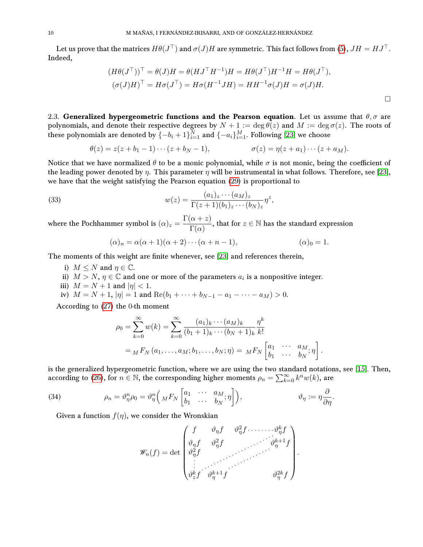Let us prove that the matrices  $H\theta(J^\top)$  and  $\sigma(J)H$  are symmetric. This fact follows from [\(5\)](#page-3-4),  $JH=HJ^\top$ . Indeed,

$$
(H\theta(J^{\top}))^{\top} = \theta(J)H = \theta(HJ^{\top}H^{-1})H = H\theta(J^{\top})H^{-1}H = H\theta(J^{\top}),
$$
  

$$
(\sigma(J)H)^{\top} = H\sigma(J^{\top}) = H\sigma(H^{-1}JH) = HH^{-1}\sigma(J)H = \sigma(J)H.
$$

<span id="page-9-0"></span>2.3. Generalized hypergeometric functions and the Pearson equation. Let us assume that  $\theta$ ,  $\sigma$  are polynomials, and denote their respective degrees by  $N + 1 := \deg \theta(z)$  and  $M := \deg \sigma(z)$ . The roots of these polynomials are denoted by  $\overline{\{-b_i+1\}}_{i=1}^{\overline{N}}$  and  $\overline{\{-a_i\}}_{i=1}^M$ . Following [\[23\]](#page-23-3) we choose

$$
\theta(z) = z(z + b_1 - 1) \cdots (z + b_N - 1), \qquad \qquad \sigma(z) = \eta(z + a_1) \cdots (z + a_M).
$$

Notice that we have normalized  $\theta$  to be a monic polynomial, while  $\sigma$  is not monic, being the coefficient of the leading power denoted by  $\eta$ . This parameter  $\eta$  will be instrumental in what follows. Therefore, see [\[23\]](#page-23-3), we have that the weight satisfying the Pearson equation [\(29\)](#page-8-3) is proportional to

<span id="page-9-2"></span>(33) 
$$
w(z) = \frac{(a_1)_z \cdots (a_M)_z}{\Gamma(z+1)(b_1)_z \cdots (b_N)_z} \eta^z,
$$

where the Pochhammer symbol is  $(\alpha)_z = \frac{\Gamma(\alpha + z)}{\Gamma(z)}$  $\frac{\alpha + z_j}{\Gamma(\alpha)}$ , that for  $z \in \mathbb{N}$  has the standard expression

$$
(\alpha)_n = \alpha(\alpha+1)(\alpha+2)\cdots(\alpha+n-1), \qquad (\alpha)_0 = 1.
$$

The moments of this weight are finite whenever, see [\[23\]](#page-23-3) and references therein,

- i)  $M \leq N$  and  $\eta \in \mathbb{C}$ .
- ii)  $M > N$ ,  $\eta \in \mathbb{C}$  and one or more of the parameters  $a_i$  is a nonpositive integer.
- iii)  $M = N + 1$  and  $|\eta| < 1$ .
- iv)  $M = N + 1$ ,  $|\eta| = 1$  and  $\text{Re}(b_1 + \cdots + b_{N-1} a_1 \cdots a_M) > 0$ .

According to [\(27\)](#page-7-3) the 0-th moment

$$
\rho_0 = \sum_{k=0}^{\infty} w(k) = \sum_{k=0}^{\infty} \frac{(a_1)_k \cdots (a_M)_k}{(b_1 + 1)_k \cdots (b_N + 1)_k} \frac{\eta^k}{k!} \n= {}_M F_N (a_1, \ldots, a_M; b_1, \ldots, b_N; \eta) = {}_M F_N \begin{bmatrix} a_1 & \cdots & a_M \\ b_1 & \cdots & b_N \end{bmatrix}.
$$

is the generalized hypergeometric function, where we are using the two standard notations, see [\[15\]](#page-23-8). Then, according to [\(26\)](#page-7-4), for  $n \in \mathbb{N}$ , the corresponding higher moments  $\rho_n = \sum_{k=0}^{\infty} k^n w(k)$ , are

<span id="page-9-1"></span>(34) 
$$
\rho_n = \vartheta_{\eta}^n \rho_0 = \vartheta_{\eta}^n \left( {}_{M} F_{N} \begin{bmatrix} a_1 & \cdots & a_M \\ b_1 & \cdots & b_N \end{bmatrix} \right), \qquad \vartheta_{\eta} := \eta \frac{\partial}{\partial \eta}.
$$

Given a function  $f(\eta)$ , we consider the Wronskian

$$
\mathscr{W}_n(f) = \det \begin{pmatrix} f & \vartheta_{\eta} f & \vartheta_{\eta}^2 f & \cdots & \vartheta_{\eta}^k f \\ \vartheta_{\eta} f & \vartheta_{\eta}^2 f & & \vartheta_{\eta}^{k+1} f \\ \vartheta_{\eta}^2 f & & & \ddots & \vdots \\ \vdots & & & & \vdots \\ \vartheta_{z}^k f & \vartheta_{\eta}^{k+1} f & & & \vartheta_{\eta}^{2k} f \end{pmatrix}.
$$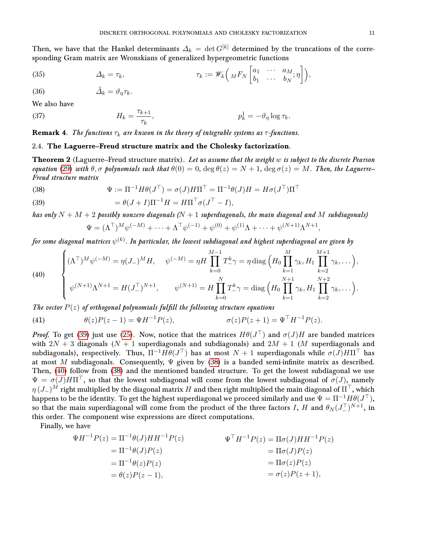Then, we have that the Hankel determinants  $\Delta_k = \det G^{[k]}$  determined by the truncations of the corresponding Gram matrix are Wronskians of generalized hypergeometric functions

<span id="page-10-6"></span>(35) 
$$
\Delta_k = \tau_k, \qquad \tau_k := \mathscr{W}_k\left(MF_N\begin{bmatrix} a_1 & \cdots & a_M \\ b_1 & \cdots & b_N \end{bmatrix}\right),
$$

<span id="page-10-7"></span>
$$
\tilde{\Delta}_k = \vartheta_\eta \tau_k.
$$

We also have

<span id="page-10-8"></span>(37) 
$$
H_k = \frac{\tau_{k+1}}{\tau_k}, \qquad p_k^1 = -\vartheta_\eta \log \tau_k.
$$

**Remark 4.** The functions  $\tau_k$  are knwon in the theory of integrable systems as  $\tau$ -functions.

# <span id="page-10-0"></span>2.4. The Laguerre–Freud structure matrix and the Cholesky factorization.

<span id="page-10-1"></span>**Theorem 2** (Laguerre–Freud structure matrix). Let us assume that the weight  $w$  is subject to the discrete Pearson equation [\(29\)](#page-8-3) with  $\theta, \sigma$  polynomials such that  $\theta(0) = 0$ ,  $\deg \theta(z) = N + 1$ ,  $\deg \sigma(z) = M$ . Then, the Laguerre– Freud structure matrix

<span id="page-10-3"></span>(38) 
$$
\Psi := \Pi^{-1} H \theta(J^{\top}) = \sigma(J) H \Pi^{\top} = \Pi^{-1} \theta(J) H = H \sigma(J^{\top}) \Pi^{\top}
$$

<span id="page-10-2"></span>(39) 
$$
= \theta(J+I)\Pi^{-1}H = H\Pi^{\top}\sigma(J^{\top} - I),
$$

has only  $N + M + 2$  possibly nonzero diagonals ( $N + 1$  superdiagonals, the main diagonal and M subdiagonals)  $\Psi = (\Lambda^{\top})^M \psi^{(-M)} + \cdots + \Lambda^{\top} \psi^{(-1)} + \psi^{(0)} + \psi^{(1)} \Lambda + \cdots + \psi^{(N+1)} \Lambda^{N+1},$ 

for some diagonal matrices  $\psi^{(k)}.$  In particular, the lowest subdiagonal and highest superdiagonal are given by

<span id="page-10-4"></span>(40) 
$$
\begin{cases} (\Lambda^{\top})^M \psi^{(-M)} = \eta (J_-)^M H, & \psi^{(-M)} = \eta H \prod_{k=0}^{M-1} T_{-}^k \gamma = \eta \operatorname{diag} \left( H_0 \prod_{k=1}^M \gamma_k, H_1 \prod_{k=2}^{M+1} \gamma_k, \dots \right), \\ \psi^{(N+1)} \Lambda^{N+1} = H (J_-^{\top})^{N+1}, & \psi^{(N+1)} = H \prod_{k=0}^N T_{-}^k \gamma = \operatorname{diag} \left( H_0 \prod_{k=1}^{N+1} \gamma_k, H_1 \prod_{k=2}^{N+2} \gamma_k, \dots \right). \end{cases}
$$

The vector  $P(z)$  of orthogonal polynomials fulfill the following structure equations

<span id="page-10-5"></span>(41) 
$$
\theta(z)P(z-1) = \Psi H^{-1}P(z), \qquad \sigma(z)P(z+1) = \Psi^{\top}H^{-1}P(z).
$$

*Proof.* To get [\(39\)](#page-10-2) just use [\(25\)](#page-7-5). Now, notice that the matrices  $H\theta(J^{\top})$  and  $\sigma(J)H$  are banded matrices with  $2N + 3$  diagonals  $(N + 1$  superdiagonals and subdiagonals) and  $2M + 1$  (M superdiagonals and subdiagonals), respectively. Thus,  $\Pi^{-1} H \theta(J^{\top})$  has at most  $N+1$  superdiagonals while  $\sigma(J) H \Pi^{\top}$  has at most M subdiagonals. Consequently,  $\Psi$  given by [\(38\)](#page-10-3) is a banded semi-infinite matrix as described. Then, [\(40\)](#page-10-4) follow from [\(38\)](#page-10-3) and the mentioned banded structure. To get the lowest subdiagonal we use  $\Psi = \sigma(J)H\Pi^{\top}$ , so that the lowest subdiagonal will come from the lowest subdiagonal of  $\sigma(J)$ , namely  $\eta(J_-)^M$  right multiplied by the diagonal matrix H and then right multiplied the main diagonal of  $\Pi^{\top}$ , which happens to be the identity. To get the highest superdiagonal we proceed similarly and use  $\Psi=\Pi^{-1}H\theta(J^\top),$ so that the main superdiagonal will come from the product of the three factors I, H and  $\theta_N (J_-^T)^{N+1}$ , in this order. The component wise expressions are direct computations.

Finally, we have

$$
\Psi H^{-1} P(z) = \Pi^{-1} \theta(J) H H^{-1} P(z)
$$
  
\n
$$
= \Pi^{-1} \theta(J) P(z)
$$
  
\n
$$
= \Pi^{-1} \theta(z) P(z)
$$
  
\n
$$
= \theta(z) P(z - 1),
$$
  
\n
$$
\Psi^{T} H^{-1} P(z) = \Pi \sigma(J) H H^{-1} P(z)
$$
  
\n
$$
= \Pi \sigma(J) P(z)
$$
  
\n
$$
= \Pi \sigma(z) P(z)
$$
  
\n
$$
= \sigma(z) P(z + 1),
$$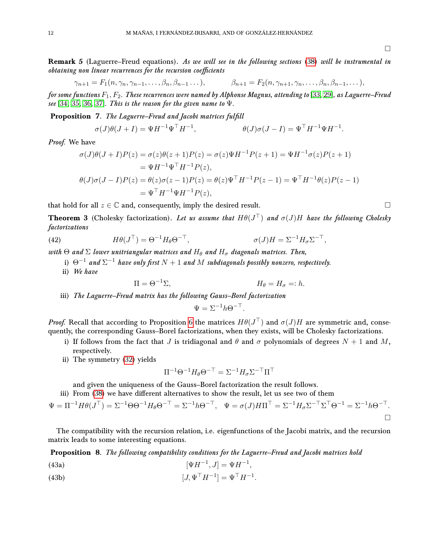**Remark 5** (Laguerre–Freud equations). As we will see in the following sections [\(38\)](#page-10-3) will be instrumental in obtaining non linear recurrences for the recursion coefficients

$$
\gamma_{n+1} = F_1(n, \gamma_n, \gamma_{n-1}, \ldots, \beta_n, \beta_{n-1} \ldots), \qquad \beta_{n+1} = F_2(n, \gamma_{n+1}, \gamma_n, \ldots, \beta_n, \beta_{n-1}, \ldots),
$$

for some functions  $F_1, F_2$ . These recurrences were named by Alphonse Magnus, attending to [\[33,](#page-24-12) [29\]](#page-24-13), as Laguerre–Freud see [\[34,](#page-24-14) [35,](#page-24-15) [36,](#page-24-16) [37\]](#page-24-17). This is the reason for the given name to  $\Psi$ .

**Proposition 7.** The Laguerre–Freud and Jacobi matrices fulfill

$$
\sigma(J)\theta(J+I) = \Psi H^{-1}\Psi^{\top}H^{-1}, \qquad \theta(J)\sigma(J-I) = \Psi^{\top}H^{-1}\Psi H^{-1}.
$$

Proof. We have

$$
\sigma(J)\theta(J+I)P(z) = \sigma(z)\theta(z+1)P(z) = \sigma(z)\Psi H^{-1}P(z+1) = \Psi H^{-1}\sigma(z)P(z+1)
$$
  
=  $\Psi H^{-1}\Psi^{\top}H^{-1}P(z)$ ,  

$$
\theta(J)\sigma(J-I)P(z) = \theta(z)\sigma(z-1)P(z) = \theta(z)\Psi^{\top}H^{-1}P(z-1) = \Psi^{\top}H^{-1}\theta(z)P(z-1)
$$
  
=  $\Psi^{\top}H^{-1}\Psi H^{-1}P(z)$ ,

that hold for all  $z \in \mathbb{C}$  and, consequently, imply the desired result.

**Theorem 3** (Cholesky factorization). Let us assume that  $H\theta(J^{\top})$  and  $\sigma(J)H$  have the following Cholesky factorizations

(42) 
$$
H\theta(J^{\top}) = \Theta^{-1}H_{\theta}\Theta^{-\top}, \qquad \sigma(J)H = \Sigma^{-1}H_{\sigma}\Sigma^{-\top},
$$

with  $\Theta$  and  $\Sigma$  lower unitriangular matrices and  $H_\theta$  and  $H_\sigma$  diagonals matrices. Then,

- i)  $\Theta^{-1}$  and  $\Sigma^{-1}$  have only first  $N+1$  and  $M$  subdiagonals possibly nonzero, respectively.
- ii) We have

$$
\Pi = \Theta^{-1} \Sigma, \qquad H_{\theta} = H_{\sigma} =: h.
$$

iii) The Laguerre–Freud matrix has the following Gauss–Borel factorization

$$
\Psi = \Sigma^{-1} h \Theta^{-\top}.
$$

Proof. Recall that according to Proposition [6](#page-8-2) the matrices  $H\theta(J^{\top})$  and  $\sigma(J)H$  are symmetric and, consequently, the corresponding Gauss–Borel factorizations, when they exists, will be Cholesky factorizations.

- i) If follows from the fact that J is tridiagonal and  $\theta$  and  $\sigma$  polynomials of degrees  $N + 1$  and M, respectively.
- ii) The symmetry [\(32\)](#page-8-6) yields

$$
\Pi^{-1} \Theta^{-1} H_{\theta} \Theta^{-\top} = \Sigma^{-1} H_{\sigma} \Sigma^{-\top} \Pi^{\top}
$$

and given the uniqueness of the Gauss–Borel factorization the result follows.

iii) From [\(38\)](#page-10-3) we have different alternatives to show the result, let us see two of them

$$
\Psi = \Pi^{-1} H \theta (J^{\top}) = \Sigma^{-1} \Theta \Theta^{-1} H_{\theta} \Theta^{-\top} = \Sigma^{-1} h \Theta^{-\top}, \quad \Psi = \sigma(J) H \Pi^{\top} = \Sigma^{-1} H_{\sigma} \Sigma^{-\top} \Sigma^{\top} \Theta^{-1} = \Sigma^{-1} h \Theta^{-\top}.
$$

The compatibility with the recursion relation, i.e. eigenfunctions of the Jacobi matrix, and the recursion matrix leads to some interesting equations.

Proposition 8. The following compatibility conditions for the Laguerre–Freud and Jacobi matrices hold

<span id="page-11-0"></span>(43a) 
$$
[\Psi H^{-1}, J] = \Psi H^{-1},
$$

<span id="page-11-1"></span>(43b)  $[J, \Psi^{\top} H^{-1}] = \Psi^{\top} H^{-1}.$ 

 $\Box$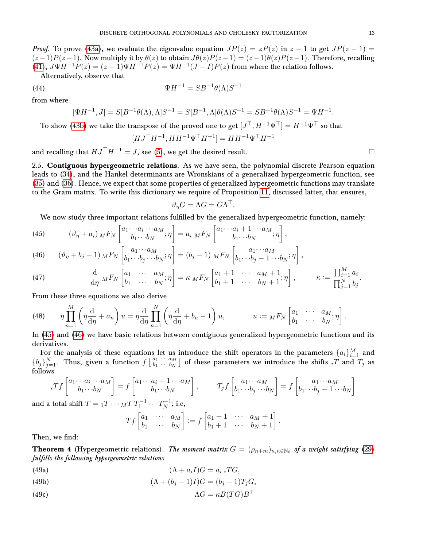*Proof.* To prove [\(43a\)](#page-11-0), we evaluate the eigenvalue equation  $JP(z) = zP(z)$  in  $z - 1$  to get  $JP(z - 1) =$  $(z-1)P(z-1)$ . Now multiply it by  $\theta(z)$  to obtain  $J\theta(z)P(z-1) = (z-1)\theta(z)P(z-1)$ . Therefore, recalling [\(41\)](#page-10-5),  $J\Psi H^{-1}P(z) = (z-1)\Psi H^{-1}P(z) = \Psi H^{-1}(J-I)P(z)$  from where the relation follows.

Alternatively, observe that

$$
\Psi H^{-1} = SB^{-1}\theta(\Lambda)S^{-1}
$$

from where

<span id="page-12-8"></span>(44)

$$
[\Psi H^{-1}, J] = S[B^{-1}\theta(\Lambda), \Lambda]S^{-1} = S[B^{-1}, \Lambda]\theta(\Lambda)S^{-1} = SB^{-1}\theta(\Lambda)S^{-1} = \Psi H^{-1}.
$$

To show [\(43b\)](#page-11-1) we take the transpose of the proved one to get  $[J^\top, H^{-1}\Psi^\top] = H^{-1}\Psi^\top$  so that

$$
[HJ^{\top}H^{-1}, H H^{-1} \Psi^{\top} H^{-1}] = H H^{-1} \Psi^{\top} H^{-1}
$$

and recalling that  $HJ^{\top}H^{-1} = J$ , see [\(5\)](#page-3-4), we get the desired result.

<span id="page-12-0"></span>2.5. Contiguous hypergeometric relations. As we have seen, the polynomial discrete Pearson equation leads to [\(34\)](#page-9-1), and the Hankel determinants are Wronskians of a generalized hypergeometric function, see [\(35\)](#page-10-6) and [\(36\)](#page-10-7). Hence, we expect that some properties of generalized hypergeometric functions may translate to the Gram matrix. To write this dictionary we require of Proposition [11,](#page-17-1) discussed latter, that ensures,

$$
\vartheta_{\eta} G = \Lambda G = G \Lambda^{\top}.
$$

We now study three important relations fulfilled by the generalized hypergeometric function, namely:

h

<span id="page-12-2"></span>(45) 
$$
(\vartheta_{\eta} + a_i) \, M F_N \begin{bmatrix} a_1 \cdots a_i \cdots a_M \\ b_1 \cdots b_N \end{bmatrix} = a_i \, M F_N \begin{bmatrix} a_1 \cdots a_i + 1 \cdots a_M \\ b_1 \cdots b_N \end{bmatrix},
$$

<span id="page-12-3"></span>(46) 
$$
(\vartheta_{\eta} + b_j - 1) \, M F_N \left[ b_1 \cdots b_j \cdots b_N; \eta \right] = (b_j - 1) \, M F_N \left[ b_1 \cdots b_j - 1 \cdots b_N; \eta \right],
$$

<span id="page-12-6"></span>(47) 
$$
\frac{\mathrm{d}}{\mathrm{d}\eta} M F_N \begin{bmatrix} a_1 & \cdots & a_M \\ b_1 & \cdots & b_N \end{bmatrix} = \kappa M F_N \begin{bmatrix} a_1 + 1 & \cdots & a_M + 1 \\ b_1 + 1 & \cdots & b_N + 1 \end{bmatrix}, \qquad \kappa := \frac{\prod_{i=1}^M a_i}{\prod_{j=1}^N b_j}.
$$

From these three equations we also derive

<span id="page-12-7"></span>(48) 
$$
\eta \prod_{n=1}^{M} \left( \eta \frac{d}{d\eta} + a_n \right) u = \eta \frac{d}{d\eta} \prod_{n=1}^{N} \left( \eta \frac{d}{d\eta} + b_n - 1 \right) u, \qquad u := {}_{M}F_{N} \begin{bmatrix} a_1 & \cdots & a_M \\ b_1 & \cdots & b_N \end{bmatrix}.
$$

In [\(45\)](#page-12-2) and [\(46\)](#page-12-3) we have basic relations between contiguous generalized hypergeometric functions and its derivatives.

For the analysis of these equations let us introduce the shift operators in the parameters  $\{a_i\}_{i=1}^M$  and  ${b_j}_{j=1}^N$ . Thus, given a function  $f\begin{bmatrix} a_1 & a_{M} \\ b_1 & \cdots & b_N \end{bmatrix}$  $\left[\begin{smallmatrix} a_1 & \cdots & a_M \ b_1 & \cdots & b_N \end{smallmatrix}\right]$  of these parameters we introduce the shifts  $_iT$  and  $\overline{T}_j$  as follows

$$
{}_{i}Tf\begin{bmatrix} a_{1} \cdots a_{i} \cdots a_{M} \\ b_{1} \cdots b_{N} \end{bmatrix} = f\begin{bmatrix} a_{1} \cdots a_{i} + 1 \cdots a_{M} \\ b_{1} \cdots b_{N} \end{bmatrix}, \qquad T_{j}f\begin{bmatrix} a_{1} \cdots a_{M} \\ b_{1} \cdots b_{j} \cdots b_{N} \end{bmatrix} = f\begin{bmatrix} a_{1} \cdots a_{M} \\ b_{1} \cdots b_{j} - 1 \cdots b_{N} \end{bmatrix}
$$
  
a total shift  $T = {}_{1}T \cdots {}_{M}T T_{1}^{-1} \cdots T_{N}^{-1}$ ; i.e.

and a total shift  $T = {}_1T \cdots {}_M T \, T_1^{-1} \cdots T_N^{-1}$  $\frac{N-1}{N}$ ; i.e,

$$
Tf\begin{bmatrix} a_1 & \cdots & a_M \\ b_1 & \cdots & b_N \end{bmatrix} := f\begin{bmatrix} a_1+1 & \cdots & a_M+1 \\ b_1+1 & \cdots & b_N+1 \end{bmatrix}.
$$

Then, we find:

<span id="page-12-1"></span>**Theorem 4** (Hypergeometric relations). The moment matrix  $G = (\rho_{n+m})_{n,n \in \mathbb{N}_0}$  of a weight satisfying [\(29\)](#page-8-3) fulfills the following hypergeometric relations

<span id="page-12-4"></span>(49a) 
$$
(\Lambda + a_i I)G = a_i \, iTG,
$$

<span id="page-12-5"></span>(49b) 
$$
(\Lambda + (b_j - 1)I)G = (b_j - 1)T_jG,
$$

$$
\Lambda G = \kappa B (T G) B^{\top}
$$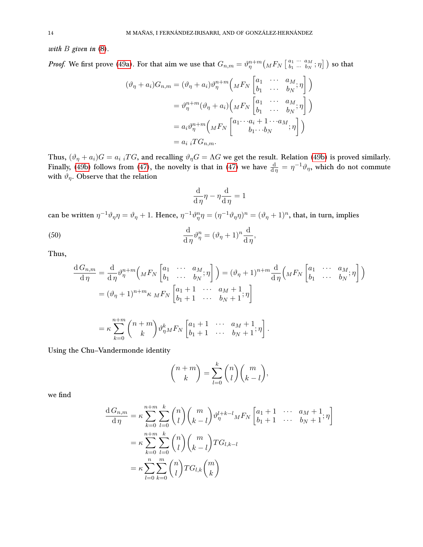with  $B$  given in  $(8)$ .

*Proof.* We first prove [\(49a\)](#page-12-4). For that aim we use that  $G_{n,m} = \vartheta_{\eta}^{n+m} \left( _{M}F_{N}\left[ \begin{smallmatrix} a_{1} & \cdots & a_{M} \\ b_{1} & \cdots & b_{N} \end{smallmatrix} \right] \right)$  $\left[\begin{smallmatrix} a_1 & \cdots & a_M \ b_1 & \cdots & b_N \end{smallmatrix}; \eta \right]$  ) so that

$$
(\vartheta_{\eta} + a_i)G_{n,m} = (\vartheta_{\eta} + a_i)\vartheta_{\eta}^{n+m} \left( _{M}F_{N} \begin{bmatrix} a_1 & \cdots & a_M \\ b_1 & \cdots & b_N \end{bmatrix} \right)
$$
  

$$
= \vartheta_{\eta}^{n+m} (\vartheta_{\eta} + a_i) \left( _{M}F_{N} \begin{bmatrix} a_1 & \cdots & a_M \\ b_1 & \cdots & b_N \end{bmatrix} \right)
$$
  

$$
= a_i \vartheta_{\eta}^{n+m} \left( _{M}F_{N} \begin{bmatrix} a_1 \cdots a_i + 1 \cdots a_M \\ b_1 \cdots b_N \end{bmatrix} ; \eta \right)
$$
  

$$
= a_i {}_{i}T G_{n,m}.
$$

Thus,  $(\vartheta_{\eta} + a_i)G = a_i \, iTG$ , and recalling  $\vartheta_{\eta}G = \Lambda G$  we get the result. Relation [\(49b\)](#page-12-5) is proved similarly. Finally, [\(49b\)](#page-12-5) follows from [\(47\)](#page-12-6), the novelty is that in (47) we have  $\frac{d}{d\eta} = \eta^{-1}\vartheta_\eta$ , which do not commute with  $\vartheta_{\eta}$ . Observe that the relation

$$
\frac{\mathrm{d}}{\mathrm{d}\,\eta}\eta-\eta\frac{\mathrm{d}}{\mathrm{d}\,\eta}=1
$$

can be written  $\eta^{-1}\vartheta_\eta\eta=\vartheta_\eta+1$ . Hence,  $\eta^{-1}\vartheta_\eta^{\eta}\eta=(\eta^{-1}\vartheta_\eta\eta)^n=(\vartheta_\eta+1)^n$ , that, in turn, implies

(50) 
$$
\frac{\mathrm{d}}{\mathrm{d}\,\eta}\vartheta_{\eta}^{n} = (\vartheta_{\eta} + 1)^{n}\frac{\mathrm{d}}{\mathrm{d}\,\eta},
$$

Thus,

$$
\frac{d G_{n,m}}{d \eta} = \frac{d}{d \eta} \vartheta_{\eta}^{n+m} \left( {}_{M}F_{N} \begin{bmatrix} a_{1} & \cdots & a_{M} \\ b_{1} & \cdots & b_{N} \end{bmatrix} \right) = (\vartheta_{\eta} + 1)^{n+m} \frac{d}{d \eta} \left( {}_{M}F_{N} \begin{bmatrix} a_{1} & \cdots & a_{M} \\ b_{1} & \cdots & b_{N} \end{bmatrix} \right)
$$

$$
= (\vartheta_{\eta} + 1)^{n+m} \kappa {}_{M}F_{N} \begin{bmatrix} a_{1} + 1 & \cdots & a_{M} + 1 \\ b_{1} + 1 & \cdots & b_{N} + 1 \end{bmatrix}
$$

$$
= \kappa \sum_{k=0}^{n+m} {n+m \choose k} \vartheta_{\eta}^{k} {}_{M}F_{N} \begin{bmatrix} a_{1} + 1 & \cdots & a_{M} + 1 \\ b_{1} + 1 & \cdots & b_{N} + 1 \end{bmatrix}.
$$

Using the Chu–Vandermonde identity

$$
\binom{n+m}{k} = \sum_{l=0}^{k} \binom{n}{l} \binom{m}{k-l},
$$

we find

$$
\frac{\mathrm{d}\,G_{n,m}}{\mathrm{d}\,\eta} = \kappa \sum_{k=0}^{n+m} \sum_{l=0}^k \binom{n}{l} \binom{m}{k-l} \vartheta_{\eta}^{l+k-l}{}_M F_N \begin{bmatrix} a_1+1 & \cdots & a_M+1\\ b_1+1 & \cdots & b_N+1 \end{bmatrix}
$$

$$
= \kappa \sum_{k=0}^{n+m} \sum_{l=0}^k \binom{n}{l} \binom{m}{k-l} T G_{l,k-l}
$$

$$
= \kappa \sum_{l=0}^n \sum_{k=0}^m \binom{n}{l} T G_{l,k} \binom{m}{k}
$$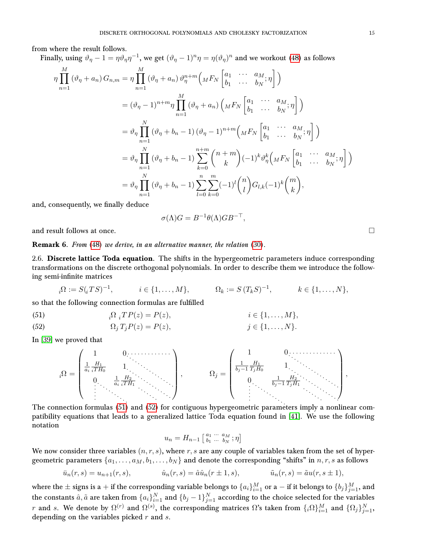from where the result follows.

Finally, using  $\vartheta_\eta - 1 = \eta \vartheta_\eta \eta^{-1}$ , we get  $(\vartheta_\eta - 1)^n \eta = \eta(\vartheta_\eta)^n$  and we workout [\(48\)](#page-12-7) as follows  $\eta$   $\Pi$ M  $n=1$  $(\vartheta_{\eta}+a_n) G_{n,m} = \eta \prod$ M  $n=1$  $(\vartheta_{\eta} + a_n) \vartheta_{\eta}^{n+m} \Big( {}_{M}F_{N} \left[ \begin{matrix} a_1 & \cdots & a_M \\ b_1 & \cdots & b_M \end{matrix} \right]$  $\begin{bmatrix} a_1 & \cdots & a_M\ b_1 & \cdots & b_N \end{bmatrix} \Big)$  $=(\vartheta_\eta-1)^{n+m}\eta\prod$ M  $n=1$  $(\vartheta_{\eta} + a_n) \left( _{M}F_{N} \begin{bmatrix} a_1 & \cdots & a_M \ h & \cdots & h_M \end{bmatrix} \right)$  $\begin{bmatrix} a_1 & \cdots & a_M\ b_1 & \cdots & b_N \end{bmatrix} \Big)$  $=\vartheta_\eta\prod$ N  $n=1$  $(\vartheta_{\eta} + b_{n} - 1) (\vartheta_{\eta} - 1)^{n+m} \begin{pmatrix} a_{1} & \cdots & a_{M} \\ b_{n} & \cdots & b_{M} \end{pmatrix}$  $\begin{bmatrix} a_1 & \cdots & a_M\ b_1 & \cdots & b_N \end{bmatrix} \Big)$  $=\vartheta_\eta\prod$ N  $n=1$  $(\vartheta_{\eta} + b_{n} - 1)$ n $\sum$  $+m$  $_{k=0}$  $(n + m)$ k  $\int (-1)^k \vartheta_{\eta}^k \left( _{M}F_{N}\begin{bmatrix} a_1 & \cdots & a_M \ h_1 & \cdots & h_M \end{bmatrix} \right)$  $\begin{bmatrix} a_1 & \cdots & a_M\ b_1 & \cdots & b_N \end{bmatrix} \Big)$  $=\vartheta_\eta\prod$ N  $n=1$  $(\vartheta_{\eta} + b_{n} - 1)\sum_{n=1}^{n}$  $_{l=0}$  $\sum_{i=1}^{m}$  $_{k=0}$  $(-1)^l\binom{n}{k}$ l  $\bigg) G_{l,k}(-1)^k \binom{m}{l}$ k  $\bigg),$ 

and, consequently, we finally deduce

$$
\sigma(\Lambda)G = B^{-1}\theta(\Lambda)GB^{-\top},
$$

and result follows at once.

Remark 6. From [\(48\)](#page-12-7) we derive, in an alternative manner, the relation [\(30\)](#page-8-5).

<span id="page-14-0"></span>2.6. Discrete lattice Toda equation. The shifts in the hypergeometric parameters induce corresponding transformations on the discrete orthogonal polynomials. In order to describe them we introduce the following semi-infinite matrices

$$
{}_{i}\Omega := S({}_{i}TS)^{-1}, \qquad i \in \{1, ..., M\}, \qquad \Omega_k := S(T_kS)^{-1}, \qquad k \in \{1, ..., N\},
$$

 $\in \{1, \ldots, N\}.$ 

so that the following connection formulas are fulfilled

<span id="page-14-1"></span>(51) 
$$
{}_{i}\Omega {}_{i}TP(z) = P(z), \qquad i \in \{1, \ldots, M\},
$$

<span id="page-14-2"></span>
$$
(52) \t\t \t\t \Omega_j T_j P(z) = P(z), \t\t j
$$

In [\[39\]](#page-24-18) we proved that

<sup>i</sup>Ω = 1 0 1 ai H<sup>1</sup> <sup>i</sup>T H<sup>0</sup> 1 0 1 ai H<sup>2</sup> <sup>i</sup>T H<sup>1</sup> , Ω<sup>j</sup> = 1 0 1 bj−1 H<sup>1</sup> TjH<sup>0</sup> 1 0 1 bj−1 H<sup>2</sup> TjH<sup>1</sup> ,

The connection formulas [\(51\)](#page-14-1) and [\(52\)](#page-14-2) for contiguous hypergeometric parameters imply a nonlinear compatibility equations that leads to a generalized lattice Toda equation found in [\[41\]](#page-24-11). We use the following notation

$$
u_n = H_{n-1} \left[ \begin{smallmatrix} a_1 & \cdots & a_M \\ b_1 & \cdots & b_N \end{smallmatrix} ; \eta \right]
$$

We now consider three variables  $(n, r, s)$ , where  $r, s$  are any couple of variables taken from the set of hypergeometric parameters  $\{a_1, \ldots, a_M, b_1, \ldots, b_N\}$  and denote the corresponding "shifts" in  $n, r, s$  as follows

$$
\bar{u}_n(r,s) = u_{n+1}(r,s),
$$
\n $\hat{u}_n(r,s) = \hat{a}\hat{u}_n(r \pm 1,s),$ \n $\tilde{u}_n(r,s) = \tilde{a}u(r,s \pm 1),$ 

where the  $\pm$  signs is a  $+$  if the corresponding variable belongs to  $\{a_i\}_{i=1}^M$  or a  $-$  if it belongs to  $\{b_j\}_{j=1}^M,$  and the constants  $\hat a,\tilde a$  are taken from  $\{a_i\}_{i=1}^N$  and  $\{b_j-1\}_{j=1}^N$  according to the choice selected for the variables r and s. We denote by  $\Omega^{(r)}$  and  $\Omega^{(s)},$  the corresponding matrices  $\Omega$ 's taken from  $\{_i\Omega\}_{i=1}^M$  and  $\{\Omega_j\}_{j=1}^N,$ depending on the variables picked  $r$  and  $s$ .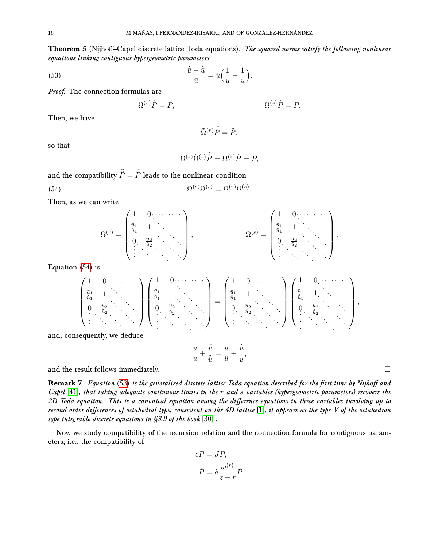<span id="page-15-0"></span>**Theorem 5** (Nijhoff–Capel discrete lattice Toda equations). The squared norms satisfy the following nonlinear equations linking contiguous hypergeometric parameters

<span id="page-15-2"></span>(53) 
$$
\frac{\hat{\bar{u}} - \tilde{\bar{u}}}{\bar{u}} = \tilde{\hat{u}} \left( \frac{1}{\tilde{u}} - \frac{1}{\hat{u}} \right).
$$

Proof. The connection formulas are

$$
\Omega^{(r)}\hat{P} = P, \qquad \Omega^{(s)}\tilde{P} = P.
$$

Then, we have

$$
\tilde{\Omega}^{(r)}\tilde{\hat{P}} = \tilde{P},
$$

so that

$$
\Omega^{(s)} \tilde{\Omega}^{(r)} \tilde{\hat{P}} = \Omega^{(s)} \tilde{P} = P,
$$

and the compatibility  $\tilde{\hat{P}} = \hat{\tilde{P}}$  leads to the nonlinear condition

<span id="page-15-1"></span>(54) 
$$
\Omega^{(s)} \tilde{\Omega}^{(r)} = \Omega^{(r)} \hat{\Omega}^{(s)}.
$$

Then, as we can write



Equation [\(54\)](#page-15-1) is

$$
\begin{pmatrix}\n1 & 0 & \cdots & \cdots \\
\frac{\bar{u}_1}{\bar{u}_1} & 1 & \cdots & \cdots \\
0 & \frac{\bar{u}_2}{\bar{u}_2} & \cdots & \cdots & \cdots \\
\vdots & \vdots & \ddots & \vdots & \ddots\n\end{pmatrix}\n\begin{pmatrix}\n1 & 0 & \cdots & \cdots & \cdots \\
\frac{\bar{u}_1}{\bar{u}_1} & 1 & \cdots & \cdots & \cdots \\
0 & \frac{\bar{u}_2}{\bar{u}_2} & \cdots & \cdots & \cdots \\
\vdots & \vdots & \ddots & \ddots & \ddots\n\end{pmatrix}\n=\n\begin{pmatrix}\n1 & 0 & \cdots & \cdots & \cdots \\
\frac{\bar{u}_1}{\bar{u}_1} & 1 & \cdots & \cdots & \cdots \\
0 & \frac{\bar{u}_2}{\bar{u}_2} & \cdots & \cdots & \cdots \\
\vdots & \ddots & \ddots & \ddots & \ddots\n\end{pmatrix},
$$
\nand, consequently, we deduce

 $\frac{\tilde{\bar{u}}}{\tilde{\hat{u}}}=\frac{\bar{u}}{\hat{u}}$ 

 $\frac{\bar{u}}{\hat{u}}+\frac{\hat{\bar{u}}}{\hat{\tilde{u}}}$  $\frac{\alpha}{\hat{u}},$ 

 $\bar{u}$  $\frac{\bar{u}}{\tilde{u}}+\frac{\tilde{\bar{u}}}{\tilde{\tilde{u}}}$ 

and the result follows immediately.  $\Box$ 

Remark 7. Equation [\(53\)](#page-15-2) is the generalized discrete lattice Toda equation described for the first time by Nijhoff and Capel  $[41]$ , that taking adequate continuous limits in the r and s variables (hypergeometric parameters) recovers the 2D Toda equation. This is a canonical equation among the difference equations in three variables involving up to second order differences of octahedral type, consistent on the 4D lattice [\[1\]](#page-23-9), it appears as the type V of the octahedron type integrable discrete equations in §3.9 of the book [\[30\]](#page-24-10) .

Now we study compatibility of the recursion relation and the connection formula for contiguous parameters; i.e., the compatibility of

$$
zP = JP,
$$
  

$$
\hat{P} = \hat{a}\frac{\omega^{(r)}}{z+r}P.
$$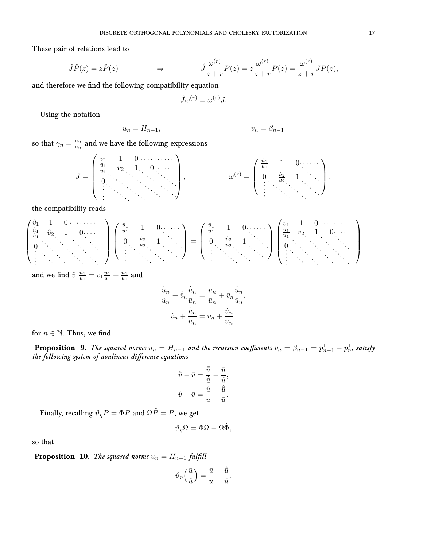These pair of relations lead to

$$
\hat{J}\hat{P}(z) = z\hat{P}(z) \qquad \qquad \Rightarrow \qquad \qquad \hat{J}\frac{\omega^{(r)}}{z+r}P(z) = z\frac{\omega^{(r)}}{z+r}P(z) = \frac{\omega^{(r)}}{z+r}JP(z),
$$

and therefore we find the following compatibility equation

$$
\hat{J}\omega^{(r)} = \omega^{(r)}J.
$$

Using the notation

$$
u_n = H_{n-1}, \t\t v_n = \beta_{n-1}
$$

so that  $\gamma_n = \frac{\bar{u}_n}{u_n}$  $\frac{\bar{u}_n}{u_n}$  and we have the following expressions

$$
J = \begin{pmatrix} v_1 & 1 & 0 & \cdots & \cdots & \cdots \\ \frac{\bar{u}_1}{u_1} & v_2 & 1 & 0 & \cdots & \cdots \\ 0 & \cdots & \cdots & \cdots & \cdots & \cdots \\ \vdots & \cdots & \cdots & \cdots & \cdots & \cdots \end{pmatrix}, \qquad \qquad \omega^{(r)} = \begin{pmatrix} \frac{\hat{u}_1}{u_1} & 1 & 0 & \cdots & \cdots \\ 0 & \frac{\hat{u}_2}{u_2} & 1 & \cdots & \cdots \\ \vdots & \ddots & \cdots & \ddots & \cdots \end{pmatrix},
$$

the compatibility reads

 vˆ<sup>1</sup> 1 0 uˆ¯1 uˆ1 vˆ<sup>2</sup> 1 0 0 uˆ1 u1 1 0 0 uˆ2 u2 1 = uˆ1 u1 1 0 0 uˆ2 u2 1 v<sup>1</sup> 1 0 u¯1 u1 v<sup>2</sup> 1 0 0 

and we find  $\hat{v}_1 \frac{\hat{u}_1}{u_1}$  $\frac{\hat{u}_1}{u_1} = v_1 \frac{\hat{u}_1}{u_1}$  $\frac{\hat{u}_1}{u_1} + \frac{\bar{u}_1}{u_1}$  $\frac{\bar{u}_1}{u_1}$  and

$$
\frac{\hat{\bar{u}}_n}{\hat{u}_n} + \hat{\bar{v}}_n \frac{\hat{\bar{u}}_n}{\bar{u}_n} = \frac{\bar{\bar{u}}_n}{\bar{u}_n} + \bar{v}_n \frac{\hat{\bar{u}}_n}{\bar{u}_n},
$$

$$
\hat{v}_n + \frac{\hat{\bar{u}}_n}{\bar{u}_n} = \bar{v}_n + \frac{\hat{u}_n}{u_n}
$$

for  $n \in \mathbb{N}$ . Thus, we find

**Proposition** 9. The squared norms  $u_n = H_{n-1}$  and the recursion coefficients  $v_n = \beta_{n-1} = p_{n-1}^1 - p_n^1$ , satisfy the following system of nonlinear difference equations

$$
\hat{\bar{v}} - \bar{v} = \frac{\bar{\bar{u}}}{\hat{\bar{u}}} - \frac{\bar{u}}{\hat{u}},
$$

$$
\hat{v} - \bar{v} = \frac{\hat{u}}{u} - \frac{\hat{\bar{u}}}{\bar{u}}.
$$

Finally, recalling  $\vartheta_\eta P = \Phi P$  and  $\Omega \hat P = P,$  we get

$$
\vartheta_\eta\Omega=\Phi\Omega-\Omega\hat{\Phi},
$$

so that

**Proposition 10.** The squared norms  $u_n = H_{n-1}$  fulfill

$$
\vartheta_\eta\Big(\frac{\bar u}{\hat u}\Big)=\frac{\bar u}{u}-\frac{\hat{\bar u}}{\hat u}.
$$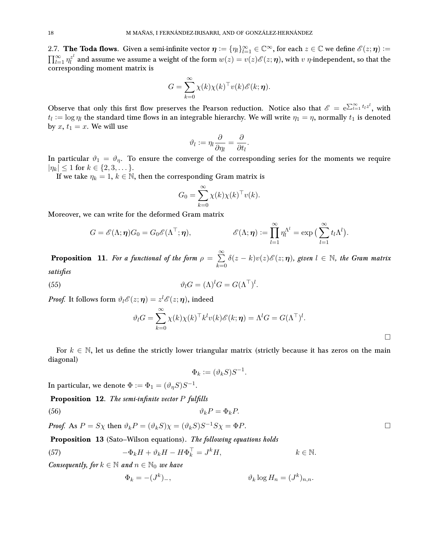<span id="page-17-0"></span>2.7. The Toda flows. Given a semi-infinite vector  $\eta := \{\eta_l\}_{l=1}^{\infty} \in \mathbb{C}^{\infty}$ , for each  $z \in \mathbb{C}$  we define  $\mathscr{E}(z; \eta) :=$  $\prod_{l=1}^\infty \eta_l^{z^l}$  $\tilde{\ell}^l$  and assume we assume a weight of the form  $w(z)=v(z)\mathscr{E}(z;\bm{\eta}),$  with  $v$   $\eta$ -independent, so that the corresponding moment matrix is

$$
G = \sum_{k=0}^{\infty} \chi(k) \chi(k)^{\top} v(k) \mathscr{E}(k; \eta).
$$

Observe that only this first flow preserves the Pearson reduction. Notice also that  $\mathscr{E} = e^{\sum_{l=1}^{\infty} t_l z^l}$ , with  $t_l := \log \eta_l$  the standard time flows in an integrable hierarchy. We will write  $\eta_1 = \eta$ , normally  $t_1$  is denoted by  $x, t_1 = x$ . We will use

$$
\vartheta_l := \eta_l \frac{\partial}{\partial \eta_l} = \frac{\partial}{\partial t_l}.
$$

In particular  $\vartheta_1 = \vartheta_{\eta}$ . To ensure the converge of the corresponding series for the moments we require  $|\eta_k| \leq 1$  for  $k \in \{2, 3, \dots\}.$ 

If we take  $\eta_k = 1, k \in \mathbb{N}$ , then the corresponding Gram matrix is

$$
G_0 = \sum_{k=0}^{\infty} \chi(k) \chi(k)^\top v(k).
$$

Moreover, we can write for the deformed Gram matrix

$$
G = \mathscr{E}(\Lambda; \eta) G_0 = G_0 \mathscr{E}(\Lambda^\top; \eta), \qquad \mathscr{E}(\Lambda; \eta) := \prod_{l=1}^\infty \eta_l^{\Lambda^l} = \exp\big(\sum_{l=1}^\infty t_l \Lambda^l\big).
$$

<span id="page-17-1"></span>**Proposition** 11. For a functional of the form  $\rho = \sum^{\infty}$  $k=0$  $\delta(z - k)v(z)\mathscr{E}(z; \eta)$ , given  $l \in \mathbb{N}$ , the Gram matrix satisfies

<span id="page-17-2"></span>(55) 
$$
\vartheta_l G = (\Lambda)^l G = G(\Lambda^\top)^l.
$$

Proof. It follows form  $\vartheta_l{\mathscr E}(z;{\boldsymbol \eta})=z^l{\mathscr E}(z;{\boldsymbol \eta}),$  indeed

$$
\vartheta_l G = \sum_{k=0}^{\infty} \chi(k) \chi(k)^{\top} k^l v(k) \mathscr{E}(k; \eta) = \Lambda^l G = G(\Lambda^{\top})^l.
$$

For  $k \in \mathbb{N}$ , let us define the strictly lower triangular matrix (strictly because it has zeros on the main diagonal)

$$
\Phi_k := (\vartheta_k S) S^{-1}.
$$

In particular, we denote  $\Phi := \Phi_1 = (\vartheta_\eta S) S^{-1}.$ 

**Proposition 12.** The semi-infinite vector  $P$  fulfills

<span id="page-17-4"></span>
$$
\vartheta_k P = \Phi_k P.
$$

*Proof.* As  $P = S\chi$  then  $\vartheta_k P = (\vartheta_k S)\chi = (\vartheta_k S)S^{-1}S\chi = \Phi P$ .

**Proposition 13** (Sato–Wilson equations). The following equations holds

<span id="page-17-3"></span>(57) 
$$
-\Phi_k H + \vartheta_k H - H\Phi_k^{\top} = J^k H, \qquad k \in \mathbb{N}.
$$

Consequently, for  $k \in \mathbb{N}$  and  $n \in \mathbb{N}_0$  we have

$$
\Phi_k = -(J^k)_-, \qquad \qquad \vartheta_k \log H_n = (J^k)_{n,n}.
$$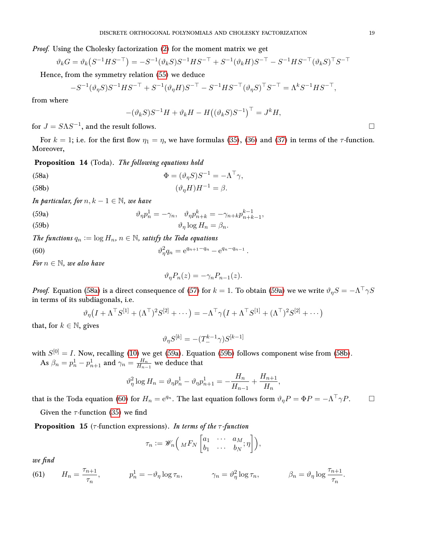Proof. Using the Cholesky factorization [\(2\)](#page-2-3) for the moment matrix we get

$$
\vartheta_k G = \vartheta_k (S^{-1} H S^{-\top}) = -S^{-1} (\vartheta_k S) S^{-1} H S^{-\top} + S^{-1} (\vartheta_k H) S^{-\top} - S^{-1} H S^{-\top} (\vartheta_k S)^{\top} S^{-\top}
$$

Hence, from the symmetry relation [\(55\)](#page-17-2) we deduce

$$
-S^{-1}(\vartheta_\eta S)S^{-1}HS^{-\top} + S^{-1}(\vartheta_\eta H)S^{-\top} - S^{-1}HS^{-\top}(\vartheta_\eta S)^{\top}S^{-\top} = \Lambda^k S^{-1}HS^{-\top},
$$

from where

$$
-(\vartheta_k S)S^{-1}H + \vartheta_k H - H((\vartheta_k S)S^{-1})^{\top} = J^k H,
$$

for  $J = S\Lambda S^{-1}$ , and the result follows.

For  $k = 1$ ; i.e. for the first flow  $\eta_1 = \eta$ , we have formulas [\(35\)](#page-10-6), [\(36\)](#page-10-7) and [\(37\)](#page-10-8) in terms of the  $\tau$ -function. Moreover,

Proposition 14 (Toda). The following equations hold

<span id="page-18-0"></span>(58a) 
$$
\Phi = (\vartheta_{\eta} S) S^{-1} = -\Lambda^{\top} \gamma,
$$

<span id="page-18-3"></span>
$$
(58b)\qquad \qquad (\vartheta_{\eta}H)H^{-1} = \beta.
$$

In particular, for  $n, k - 1 \in \mathbb{N}$ , we have

<span id="page-18-2"></span><span id="page-18-1"></span>(59a)  
\n
$$
\vartheta_{\eta} p_n^1 = -\gamma_n, \quad \vartheta_{\eta} p_{n+k}^k = -\gamma_{n+k} p_{n+k-1}^{k-1},
$$
\n
$$
\vartheta_n \log H_n = \beta_n.
$$

The functions  $q_n := \log H_n$ ,  $n \in \mathbb{N}$ , satisfy the Toda equations

<span id="page-18-4"></span>(60) 
$$
\vartheta_{\eta}^{2}q_{n} = e^{q_{n+1}-q_{n}}-e^{q_{n}-q_{n-1}}.
$$

For  $n \in \mathbb{N}$ , we also have

$$
\vartheta_{\eta} P_n(z) = -\gamma_n P_{n-1}(z).
$$

Proof. Equation [\(58a\)](#page-18-0) is a direct consequence of [\(57\)](#page-17-3) for  $k=1.$  To obtain [\(59a\)](#page-18-1) we we write  $\vartheta_\eta S=-\Lambda^\top\gamma S$ in terms of its subdiagonals, i.e.

$$
\vartheta_{\eta}\big(I+\Lambda^{\top}S^{[1]}+(\Lambda^{\top})^2S^{[2]}+\cdots\big)=-\Lambda^{\top}\gamma\big(I+\Lambda^{\top}S^{[1]}+(\Lambda^{\top})^2S^{[2]}+\cdots\big)
$$

that, for  $k \in \mathbb{N}$ , gives

$$
\vartheta_\eta S^{[k]}=-(T^{k-1}_-\gamma)S^{[k-1]}
$$

with  $S^{[0]} = I$ . Now, recalling [\(10\)](#page-5-4) we get [\(59a\)](#page-18-1). Equation [\(59b\)](#page-18-2) follows component wise from [\(58b\)](#page-18-3). As  $\beta_n = p_n^1 - p_{n+1}^1$  and  $\gamma_n = \frac{H_n}{H_{n-1}}$  $\frac{H_n}{H_{n-1}}$  we deduce that

$$
\vartheta_{\eta}^{2} \log H_{n} = \vartheta_{\eta} p_{n}^{1} - \vartheta_{\eta} p_{n+1}^{1} = -\frac{H_{n}}{H_{n-1}} + \frac{H_{n+1}}{H_{n}},
$$

that is the Toda equation [\(60\)](#page-18-4) for  $H_n = e^{q_n}$ . The last equation follows form  $\vartheta_{\eta}P = \Phi P = -\Lambda^{\top}\gamma P$ .

Given the  $\tau$ -function [\(35\)](#page-10-6) we find

**Proposition 15** ( $\tau$ -function expressions). In terms of the  $\tau$ -function

$$
\tau_n := \mathscr{W}_n\left( \, {}_M F_N \left[ \begin{matrix} a_1 & \cdots & a_M \\ b_1 & \cdots & b_N \end{matrix} ; \eta \right] \right),
$$

we find

(61) 
$$
H_n = \frac{\tau_{n+1}}{\tau_n}, \qquad p_n^1 = -\vartheta_\eta \log \tau_n, \qquad \gamma_n = \vartheta_\eta^2 \log \tau_n, \qquad \beta_n = \vartheta_\eta \log \frac{\tau_{n+1}}{\tau_n}.
$$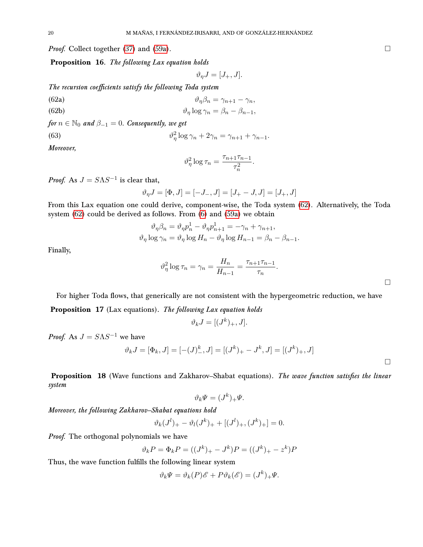*Proof.* Collect together [\(37\)](#page-10-8) and [\(59a\)](#page-18-1).  $\Box$ 

Proposition 16. The following Lax equation holds

<span id="page-19-0"></span>
$$
\vartheta_{\eta}J=[J_{+},J].
$$

The recursion coefficients satisfy the following Toda system

- (62a)  $\vartheta_{\eta}\beta_n = \gamma_{n+1} \gamma_n,$ (62b)  $\vartheta_{\eta} \log \gamma_n = \beta_n - \beta_{n-1},$
- 

for  $n \in \mathbb{N}_0$  and  $\beta_{-1} = 0$ . Consequently, we get

(63) 
$$
\vartheta_{\eta}^{2} \log \gamma_{n} + 2\gamma_{n} = \gamma_{n+1} + \gamma_{n-1}.
$$

Moreover,

$$
\vartheta_{\eta}^{2} \log \tau_{n} = \frac{\tau_{n+1} \tau_{n-1}}{\tau_{n}^{2}}.
$$

*Proof.* As  $J = S\Lambda S^{-1}$  is clear that,

$$
\vartheta_{\eta} J = [\Phi,J] = [-J_-,J] = [J_+ - J,J] = [J_+,J]
$$

From this Lax equation one could derive, component-wise, the Toda system [\(62\)](#page-19-0). Alternatively, the Toda system [\(62\)](#page-19-0) could be derived as follows. From [\(6\)](#page-3-3) and [\(59a\)](#page-18-1) we obtain

$$
\vartheta_{\eta}\beta_{n} = \vartheta_{\eta}p_{n}^{1} - \vartheta_{\eta}p_{n+1}^{1} = -\gamma_{n} + \gamma_{n+1},
$$
  

$$
\vartheta_{\eta}\log\gamma_{n} = \vartheta_{\eta}\log H_{n} - \vartheta_{\eta}\log H_{n-1} = \beta_{n} - \beta_{n-1}.
$$

Finally,

$$
\vartheta_{\eta}^2 \log \tau_n = \gamma_n = \frac{H_n}{H_{n-1}} = \frac{\tau_{n+1} \tau_{n-1}}{\tau_n}.
$$

For higher Toda flows, that generically are not consistent with the hypergeometric reduction, we have Proposition 17 (Lax equations). The following Lax equation holds

$$
\vartheta_k J = [(J^k)_+, J].
$$

*Proof.* As  $J = S \Lambda S^{-1}$  we have

$$
\vartheta_k J = [\Phi_k, J] = [-(J)^k_-, J] = [(J^k)_+ - J^k, J] = [(J^k)_+, J]
$$

Proposition 18 (Wave functions and Zakharov–Shabat equations). The wave function satisfies the linear system

$$
\vartheta_k \Psi = (J^k)_+ \Psi.
$$

Moreover, the following Zakharov–Shabat equations hold

$$
\vartheta_k(J^l)_+ - \vartheta_l(J^k)_+ + [(J^l)_+, (J^k)_+] = 0.
$$

Proof. The orthogonal polynomials we have

$$
\vartheta_k P = \Phi_k P = ((J^k)_+ - J^k)P = ((J^k)_+ - z^k)P
$$

Thus, the wave function fulfills the following linear system

$$
\vartheta_k \Psi = \vartheta_k(P)\mathscr{E} + P\vartheta_k(\mathscr{E}) = (J^k)_+ \Psi.
$$

 $\Box$ 

 $\Box$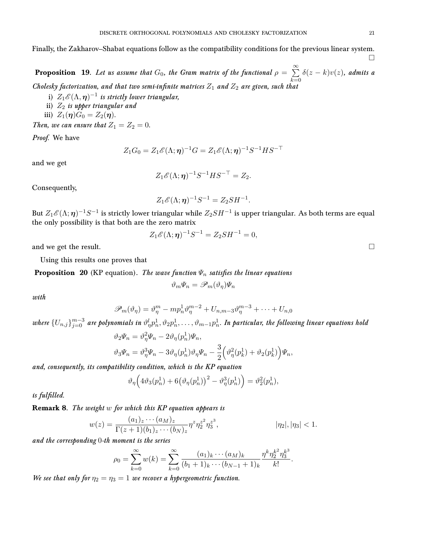Finally, the Zakharov–Shabat equations follow as the compatibility conditions for the previous linear system.

**Proposition** 19. Let us assume that  $G_0$ , the Gram matrix of the functional  $\rho = \sum^{\infty}$  $_{k=0}$  $\delta(z-k)v(z)$ , admits a Cholesky factorization, and that two semi-infinite matrices  $Z_1$  and  $Z_2$  are given, such that

- i)  $Z_1\mathscr{E}(\Lambda,\bm{\eta})^{-1}$  is strictly lower triangular,
- ii)  $Z_2$  is upper triangular and
- iii)  $Z_1(\eta)G_0 = Z_2(\eta)$ .

Then, we can ensure that  $Z_1 = Z_2 = 0$ .

Proof. We have

$$
Z_1G_0=Z_1\mathscr{E}(\Lambda;\boldsymbol{\eta})^{-1}G=Z_1\mathscr{E}(\Lambda;\boldsymbol{\eta})^{-1}S^{-1}HS^{-\top}
$$

and we get

$$
Z_1 \mathscr{E}(\Lambda; \eta)^{-1} S^{-1} H S^{-\top} = Z_2.
$$

Consequently,

$$
Z_1 \mathscr{E}(\Lambda; \eta)^{-1} S^{-1} = Z_2 S H^{-1}.
$$

But  $Z_1\mathscr{E}(\Lambda;\bm{\eta})^{-1}S^{-1}$  is strictly lower triangular while  $Z_2SH^{-1}$  is upper triangular. As both terms are equal the only possibility is that both are the zero matrix

$$
Z_1\mathscr{E}(\Lambda;\boldsymbol{\eta})^{-1}S^{-1}=Z_2SH^{-1}=0,
$$

and we get the result.  $\Box$ 

Using this results one proves that

**Proposition 20** (KP equation). The wave function  $\Psi_n$  satisfies the linear equations

$$
\vartheta_m \varPsi_n = \mathscr{P}_m(\vartheta_\eta) \varPsi_n
$$

with

$$
\mathscr{P}_m(\vartheta_\eta) = \vartheta_\eta^m - m p_n^1 \vartheta_\eta^{m-2} + U_{n,m-3} \vartheta_\eta^{m-3} + \dots + U_{n,0}
$$

where  $\{U_{n,j}\}_{j=0}^{m-3}$  are polynomials in  $\vartheta^l_p p_n^1, \vartheta_2 p_n^1, \ldots, \vartheta_{m-1}p_n^1$ . In particular, the following linear equations hold

$$
\vartheta_2 \Psi_n = \vartheta_\eta^2 \Psi_n - 2 \vartheta_\eta (p_n^1) \Psi_n,
$$
  

$$
\vartheta_3 \Psi_n = \vartheta_\eta^3 \Psi_n - 3 \vartheta_\eta (p_n^1) \vartheta_\eta \Psi_n - \frac{3}{2} \left( \vartheta_\eta^2 (p_k^1) + \vartheta_2 (p_k^1) \right) \Psi_n,
$$

and, consequently, its compatibility condition, which is the KP equation

$$
\vartheta_{\eta}\Big(4\vartheta_3(p_n^1)+6\big(\vartheta_{\eta}(p_n^1)\big)^2-\vartheta_{\eta}^3(p_n^1)\Big)=\vartheta_2^2(p_n^1),
$$

is fulfilled.

Remark 8. The weight w for which this KP equation appears is

$$
w(z) = \frac{(a_1)_z \cdots (a_M)_z}{\Gamma(z+1)(b_1)_z \cdots (b_N)_z} \eta^z \eta_2^{z^2} \eta_3^{z^3}, \qquad |\eta_2|, |\eta_3| < 1.
$$

and the corresponding 0-th moment is the series

$$
\rho_0 = \sum_{k=0}^{\infty} w(k) = \sum_{k=0}^{\infty} \frac{(a_1)_k \cdots (a_M)_k}{(b_1 + 1)_k \cdots (b_{N-1} + 1)_k} \frac{\eta^k \eta_2^{k^2} \eta_3^{k^3}}{k!}.
$$

We see that only for  $\eta_2 = \eta_3 = 1$  we recover a hypergeometric function.

П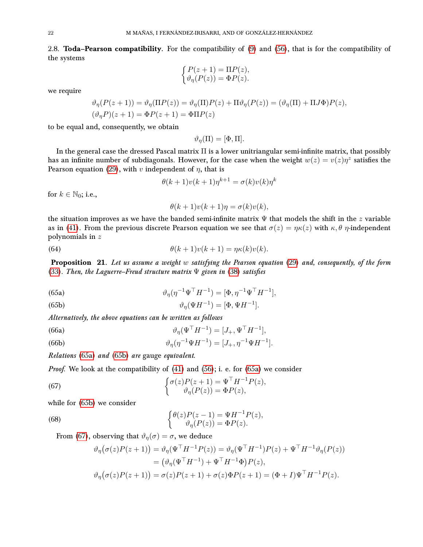<span id="page-21-0"></span>2.8. Toda–Pearson compatibility. For the compatibility of [\(9\)](#page-4-2) and [\(56\)](#page-17-4), that is for the compatibility of the systems

$$
\begin{cases} P(z+1) = \Pi P(z), \\ \vartheta_{\eta}(P(z)) = \Phi P(z). \end{cases}
$$

we require

$$
\vartheta_{\eta}(P(z+1)) = \vartheta_{\eta}(\Pi P(z)) = \vartheta_{\eta}(\Pi)P(z) + \Pi \vartheta_{\eta}(P(z)) = (\vartheta_{\eta}(\Pi) + \Pi J\Phi)P(z),
$$
  

$$
(\vartheta_{\eta}P)(z+1) = \Phi P(z+1) = \Phi \Pi P(z)
$$

to be equal and, consequently, we obtain

$$
\vartheta_{\eta}(\Pi) = [\Phi, \Pi].
$$

In the general case the dressed Pascal matrix Π is a lower unitriangular semi-infinite matrix, that possibly has an infinite number of subdiagonals. However, for the case when the weight  $w(z) = v(z)\eta^z$  satisfies the Pearson equation [\(29\)](#page-8-3), with v independent of  $\eta$ , that is

$$
\theta(k+1)v(k+1)\eta^{k+1} = \sigma(k)v(k)\eta^k
$$

for  $k \in \mathbb{N}_0$ ; i.e.,

$$
\theta(k+1)v(k+1)\eta = \sigma(k)v(k),
$$

the situation improves as we have the banded semi-infinite matrix  $\Psi$  that models the shift in the z variable as in [\(41\)](#page-10-5). From the previous discrete Pearson equation we see that  $\sigma(z) = \eta \kappa(z)$  with  $\kappa, \theta$   $\eta$ -independent polynomials in z

(64) 
$$
\theta(k+1)v(k+1) = \eta\kappa(k)v(k).
$$

<span id="page-21-1"></span>Proposition 21. Let us assume a weight w satisfying the Pearson equation [\(29\)](#page-8-3) and, consequently, of the form [\(33\)](#page-9-2). Then, the Laguerre–Freud structure matrix  $\Psi$  given in [\(38\)](#page-10-3) satisfies

<span id="page-21-2"></span>(65a) 
$$
\vartheta_{\eta}(\eta^{-1}\Psi^{\top}H^{-1}) = [\Phi, \eta^{-1}\Psi^{\top}H^{-1}],
$$

<span id="page-21-3"></span>(65b) 
$$
\vartheta_{\eta}(\Psi H^{-1}) = [\Phi, \Psi H^{-1}].
$$

Alternatively, the above equations can be written as follows

<span id="page-21-6"></span>(66a) 
$$
\vartheta_{\eta}(\Psi^{\top} H^{-1}) = [J_{+}, \Psi^{\top} H^{-1}],
$$

<span id="page-21-7"></span>(66b) 
$$
\vartheta_{\eta}(\eta^{-1}\Psi H^{-1}) = [J_{+}, \eta^{-1}\Psi H^{-1}].
$$

Relations [\(65a\)](#page-21-2) and [\(65b\)](#page-21-3) are gauge equivalent.

*Proof.* We look at the compatibility of  $(41)$  and  $(56)$ ; i. e. for  $(65a)$  we consider

<span id="page-21-4"></span>(67) 
$$
\begin{cases} \sigma(z)P(z+1) = \Psi^{\top}H^{-1}P(z), \\ \vartheta_{\eta}(P(z)) = \Phi P(z), \end{cases}
$$

while for [\(65b\)](#page-21-3) we consider

<span id="page-21-5"></span>(68) 
$$
\begin{cases} \theta(z)P(z-1) = \Psi H^{-1}P(z), \\ \vartheta_{\eta}(P(z)) = \Phi P(z). \end{cases}
$$

From [\(67\)](#page-21-4), observing that  $\vartheta_{\eta}(\sigma) = \sigma$ , we deduce

$$
\vartheta_{\eta}(\sigma(z)P(z+1)) = \vartheta_{\eta}(\Psi^{\top}H^{-1}P(z)) = \vartheta_{\eta}(\Psi^{\top}H^{-1})P(z) + \Psi^{\top}H^{-1}\vartheta_{\eta}(P(z))
$$

$$
= (\vartheta_{\eta}(\Psi^{\top}H^{-1}) + \Psi^{\top}H^{-1}\Phi)P(z),
$$

$$
\vartheta_{\eta}(\sigma(z)P(z+1)) = \sigma(z)P(z+1) + \sigma(z)\Phi P(z+1) = (\Phi + I)\Psi^{\top}H^{-1}P(z).
$$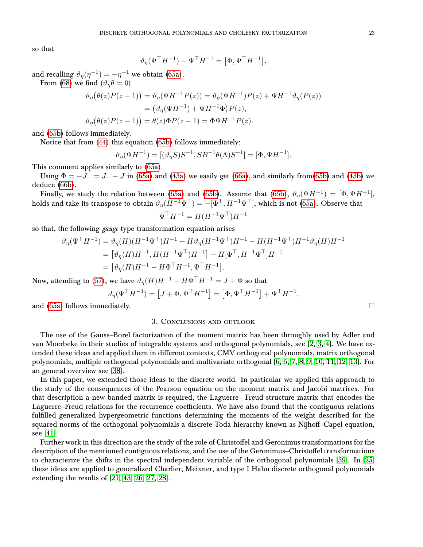so that

$$
\vartheta_{\eta}(\Psi^{\top} H^{-1}) - \Psi^{\top} H^{-1} = [\Phi, \Psi^{\top} H^{-1}],
$$

and recalling  $\vartheta_{\eta}(\eta^{-1}) = -\eta^{-1}$  we obtain [\(65a\)](#page-21-2).

From [\(68\)](#page-21-5) we find  $(\vartheta_{\eta}\theta=0)$ 

$$
\vartheta_{\eta}(\theta(z)P(z-1)) = \vartheta_{\eta}(\Psi H^{-1}P(z)) = \vartheta_{\eta}(\Psi H^{-1})P(z) + \Psi H^{-1}\vartheta_{\eta}(P(z))
$$
  
= 
$$
(\vartheta_{\eta}(\Psi H^{-1}) + \Psi H^{-1}\Phi)P(z),
$$
  

$$
\vartheta_{\eta}(\theta(z)P(z-1)) = \theta(z)\Phi P(z-1) = \Phi \Psi H^{-1}P(z).
$$

and [\(65b\)](#page-21-3) follows immediately.

Notice that from [\(44\)](#page-12-8) this equation [\(65b\)](#page-21-3) follows immediately:

$$
\vartheta_{\eta}(\Psi H^{-1}) = [(\vartheta_{\eta} S)S^{-1}, SB^{-1}\theta(\Lambda)S^{-1}] = [\Phi, \Psi H^{-1}].
$$

This comment applies similarly to [\(65a\)](#page-21-2).

Using  $\Phi = -J_- = J_+ - J$  in [\(65a\)](#page-21-2) and [\(43a\)](#page-11-0) we easily get [\(66a\)](#page-21-6), and similarly from[\(65b\)](#page-21-3) and [\(43b\)](#page-11-1) we deduce [\(66b\)](#page-21-7).

Finally, we study the relation between [\(65a\)](#page-21-2) and [\(65b\)](#page-21-3). Assume that (65b),  $\vartheta_{\eta}(\Psi H^{-1}) = [\Phi, \Psi H^{-1}]$ , holds and take its transpose to obtain  $\vartheta_n(H^{-1}\Psi^\top) = -[\Phi^\top, H^{-1}\Psi^\top]$ , which is not [\(65a\)](#page-21-2). Observe that  $\Psi^\top H^{-1} = H (H^{-1} \Psi^\top) H^{-1}$ 

so that, the following gauge type transformation equation arises

$$
\vartheta_{\eta}(\Psi^{\top}H^{-1}) = \vartheta_{\eta}(H)(H^{-1}\Psi^{\top})H^{-1} + H\vartheta_{\eta}(H^{-1}\Psi^{\top})H^{-1} - H(H^{-1}\Psi^{\top})H^{-1}\vartheta_{\eta}(H)H^{-1}
$$
  
=  $[\vartheta_{\eta}(H)H^{-1}, H(H^{-1}\Psi^{\top})H^{-1}] - H[\Phi^{\top}, H^{-1}\Psi^{\top}]H^{-1}$   
=  $[\vartheta_{\eta}(H)H^{-1} - H\Phi^{\top}H^{-1}, \Psi^{\top}H^{-1}].$ 

Now, attending to [\(57\)](#page-17-3), we have  $\vartheta_\eta(H) H^{-1} - H \Phi^\top H^{-1} = J + \Phi$  so that

$$
\vartheta_{\eta}(\Psi^{\top} H^{-1}) = \left[J + \Phi, \Psi^{\top} H^{-1}\right] = \left[\Phi, \Psi^{\top} H^{-1}\right] + \Psi^{\top} H^{-1},
$$

<span id="page-22-0"></span>and [\(65a\)](#page-21-2) follows immediately.  $\hfill \Box$ 

### 3. Conclusions and outlook

The use of the Gauss–Borel factorization of the moment matrix has been throughly used by Adler and van Moerbeke in their studies of integrable systems and orthogonal polynomials, see [\[2,](#page-23-10) [3,](#page-23-11) [4\]](#page-23-12). We have extended these ideas and applied them in different contexts, CMV orthogonal polynomials, matrix orthogonal polynomials, multiple orthogonal polynomials and multivariate orthogonal [\[6,](#page-23-13) [5,](#page-23-14) [7,](#page-23-15) [8,](#page-23-16) [9,](#page-23-17) [10,](#page-23-18) [11,](#page-23-19) [12,](#page-23-20) [13\]](#page-23-21). For an general overview see [\[38\]](#page-24-19).

In this paper, we extended those ideas to the discrete world. In particular we applied this approach to the study of the consequences of the Pearson equation on the moment matrix and Jacobi matrices. For that description a new banded matrix is required, the Laguerre– Freud structure matrix that encodes the Laguerre–Freud relations for the recurrence coefficients. We have also found that the contiguous relations fulfilled generalized hypergeometric functions determining the moments of the weight described for the squared norms of the orthogonal polynomials a discrete Toda hierarchy known as Nijhoff–Capel equation, see [\[41\]](#page-24-11).

Further work in this direction are the study of the role of Christoffel and Geronimus transformations for the description of the mentioned contiguous relations, and the use of the Geronimus–Christoffel transformations to characterize the shifts in the spectral independent variable of the orthogonal polynomials [\[39\]](#page-24-18). In [\[25\]](#page-24-9) these ideas are applied to generalized Charlier, Meixner, and type I Hahn discrete orthogonal polynomials extending the results of [\[21,](#page-23-4) [43,](#page-24-5) [26,](#page-24-2) [27,](#page-24-3) [28\]](#page-24-4).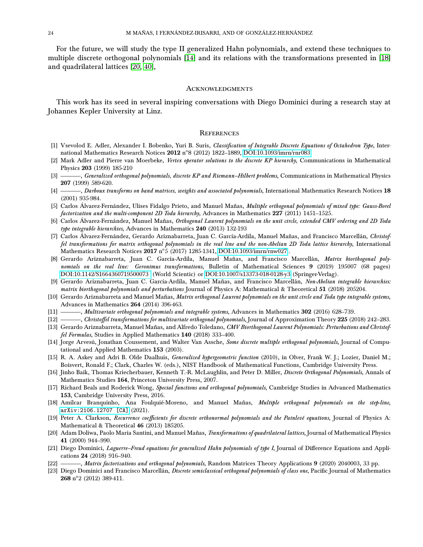For the future, we will study the type II generalized Hahn polynomials, and extend these techniques to multiple discrete orthogonal polynomials [\[14\]](#page-23-22) and its relations with the transformations presented in [\[18\]](#page-23-23) and quadrilateral lattices [\[20,](#page-23-24) [40\]](#page-24-20),

#### <span id="page-23-0"></span>**ACKNOWLEDGMENTS**

This work has its seed in several inspiring conversations with Diego Dominici during a research stay at Johannes Kepler University at Linz.

#### <span id="page-23-1"></span>**REFERENCES**

- <span id="page-23-9"></span>[1] Vsevolod E. Adler, Alexander I. Bobenko, Yuri B. Suris, Classification of Integrable Discrete Equations of Octahedron Type, Inter-national Mathematics Research Notices 2012 n°8 (2012) 1822–1889, [DOI:10.1093/imrn/rnr083.](https://doi.org/10.1093/imrn/rnr083)
- <span id="page-23-10"></span>[2] Mark Adler and Pierre van Moerbeke, Vertex operator solutions to the discrete KP hierarchy, Communications in Mathematical Physics 203 (1999) 185-210
- <span id="page-23-11"></span>[3] ———, Generalized orthogonal polynomials, discrete KP and Riemann–Hilbert problems, Communications in Mathematical Physics 207 (1999) 589-620.
- <span id="page-23-12"></span>[4] ———, Darboux transforms on band matrices, weights and associated polynomials, International Mathematics Research Notices 18 (2001) 935-984.
- <span id="page-23-14"></span>[5] Carlos Álvarez-Fernández, Ulises Fidalgo Prieto, and Manuel Mañas, Multiple orthogonal polynomials of mixed type: Gauss-Borel factorization and the multi-component 2D Toda hierarchy, Advances in Mathematics 227 (2011) 1451-1525.
- <span id="page-23-13"></span>[6] Carlos Álvarez-Fernández, Manuel Mañas, Orthogonal Laurent polynomials on the unit circle, extended CMV ordering and 2D Toda type integrable hierarchies, Advances in Mathematics 240 (2013) 132-193
- <span id="page-23-15"></span>[7] Carlos Álvarez-Fernández, Gerardo Ariznabarreta, Juan C. García-Ardila, Manuel Mañas, and Francisco Marcellán, Christoffel transformations for matrix orthogonal polynomials in the real line and the non-Abelian 2D Toda lattice hierarchy, International Mathematics Research Notices  ${\bf 2017}$  n°5 (2017) 1285-1341, [DOI:10.1093/imrn/rnw027](https://doi.org/10.1093/imrn/rnw027) .
- <span id="page-23-16"></span>[8] Gerardo Ariznabarreta, Juan C. García-Ardila, Manuel Mañas, and Francisco Marcellán, Matrix biorthogonal polynomials on the real line: Geronimus transformations, Bulletin of Mathematical Sciences 9 (2019) 195007 (68 pages) [DOI:10.1142/S1664360719500073](https://doi.org/10.1142/S1664360719500073) (World Scientic) or [DOI:10.1007/s13373-018-0128-y3](https://doi.org/10.1007/s13373-018-0128-y) (Springer-Verlag).
- <span id="page-23-17"></span>[9] Gerardo Ariznabarreta, Juan C. García-Ardila, Manuel Mañas, and Francisco Marcellán, Non-Abelian integrable hierarchies: matrix biorthogonal polynomials and perturbations Journal of Physics A: Mathematical & Theoretical 51 (2018) 205204.
- <span id="page-23-18"></span>[10] Gerardo Ariznabarreta and Manuel Mañas, Matrix orthogonal Laurent polynomials on the unit circle and Toda type integrable systems, Advances in Mathematics 264 (2014) 396-463.
- <span id="page-23-19"></span>[11] ——, Multivariate orthogonal polynomials and integrable systems, Advances in Mathematics 302 (2016) 628–739.
- <span id="page-23-20"></span>[12] ——, Christoffel transformations for multivariate orthogonal polynomials, Journal of Approximation Theory 225 (2018) 242-283.
- <span id="page-23-21"></span>[13] Gerardo Ariznabarreta, Manuel Mañas, and Alfredo Toledano, CMV Biorthogonal Laurent Polynomials: Perturbations and Christoffel Formulas, Studies in Applied Mathematics 140 (2018) 333-400.
- <span id="page-23-22"></span>[14] Jorge Arvesú, Jonathan Coussement, and Walter Van Assche, Some discrete multiple orthogonal polynomials, Journal of Computational and Applied Mathematics 153 (2003).
- <span id="page-23-8"></span>[15] R. A. Askey and Adri B. Olde Daalhuis, Generalized hypergeometric function (2010), in Olver, Frank W. J.; Lozier, Daniel M.; Boisvert, Ronald F.; Clark, Charles W. (eds.), NIST Handbook of Mathematical Functions, Cambridge University Press.
- <span id="page-23-2"></span>[16] Jinho Baik, Thomas Kriecherbauer, Kenneth T.-R. McLaughlin, and Peter D. Miller, Discrete Orthogonal Polynomials, Annals of Mathematics Studies 164, Princeton University Press, 2007.
- <span id="page-23-7"></span>[17] Richard Beals and Roderick Wong, Special functions and orthogonal polynomials, Cambridge Studies in Advanced Mathematics 153, Cambridge University Press, 2016.
- <span id="page-23-23"></span>[18] Amílcar Branquinho, Ana Foulquié-Moreno, and Manuel Mañas, Multiple orthogonal polynomials on the step-line, [arXiv:2106.12707 \[CA\]](https://arxiv.org/abs/2106.12707) (2021).
- <span id="page-23-6"></span>[19] Peter A. Clarkson, Recurrence coefficients for discrete orthonormal polynomials and the Painlevé equations, Journal of Physics A: Mathematical & Theoretical 46 (2013) 185205.
- <span id="page-23-24"></span>[20] Adam Doliwa, Paolo Maria Santini, and Manuel Mañas, Transformations of quadrilateral lattices, Journal of Mathematical Physics 41 (2000) 944–990.
- <span id="page-23-4"></span>[21] Diego Dominici, Laguerre–Freud equations for generalized Hahn polynomials of type I, Journal of Difference Equations and Applications 24 (2018) 916–940.
- <span id="page-23-5"></span>[22] ——, Matrix factorizations and orthogonal polynomials, Random Matrices Theory Applications 9 (2020) 2040003, 33 pp.
- <span id="page-23-3"></span>[23] Diego Dominici and Francisco Marcellán, Discrete semiclassical orthogonal polynomials of class one, Pacific Journal of Mathematics  $268$  n°2 (2012) 389-411.